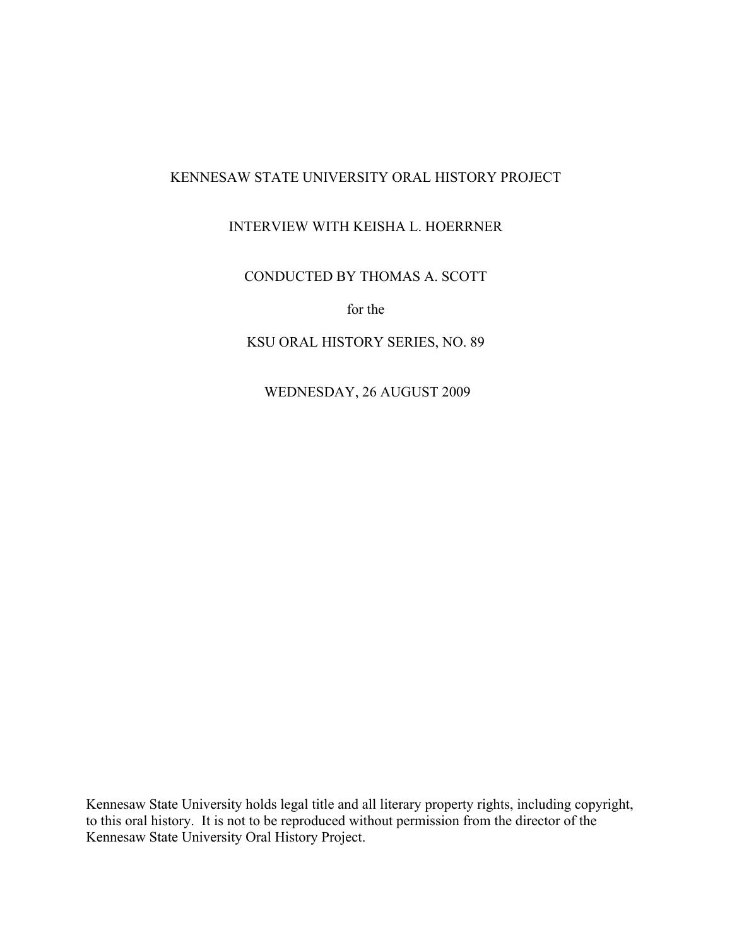# KENNESAW STATE UNIVERSITY ORAL HISTORY PROJECT

# INTERVIEW WITH KEISHA L. HOERRNER

## CONDUCTED BY THOMAS A. SCOTT

for the

### KSU ORAL HISTORY SERIES, NO. 89

WEDNESDAY, 26 AUGUST 2009

Kennesaw State University holds legal title and all literary property rights, including copyright, to this oral history. It is not to be reproduced without permission from the director of the Kennesaw State University Oral History Project.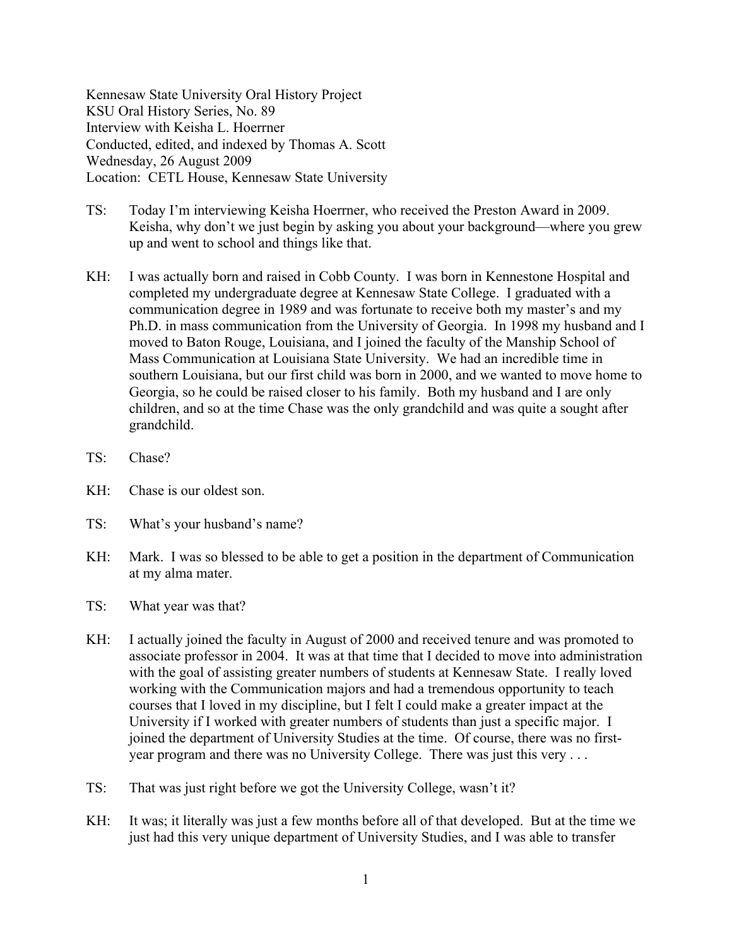Kennesaw State University Oral History Project KSU Oral History Series, No. 89 Interview with Keisha L. Hoerrner Conducted, edited, and indexed by Thomas A. Scott Wednesday, 26 August 2009 Location: CETL House, Kennesaw State University

- TS: Today I'm interviewing Keisha Hoerrner, who received the Preston Award in 2009. Keisha, why don't we just begin by asking you about your background—where you grew up and went to school and things like that.
- KH: I was actually born and raised in Cobb County. I was born in Kennestone Hospital and completed my undergraduate degree at Kennesaw State College. I graduated with a communication degree in 1989 and was fortunate to receive both my master's and my Ph.D. in mass communication from the University of Georgia. In 1998 my husband and I moved to Baton Rouge, Louisiana, and I joined the faculty of the Manship School of Mass Communication at Louisiana State University. We had an incredible time in southern Louisiana, but our first child was born in 2000, and we wanted to move home to Georgia, so he could be raised closer to his family. Both my husband and I are only children, and so at the time Chase was the only grandchild and was quite a sought after grandchild.
- TS: Chase?
- KH: Chase is our oldest son.
- TS: What's your husband's name?
- KH: Mark. I was so blessed to be able to get a position in the department of Communication at my alma mater.
- TS: What year was that?
- KH: I actually joined the faculty in August of 2000 and received tenure and was promoted to associate professor in 2004. It was at that time that I decided to move into administration with the goal of assisting greater numbers of students at Kennesaw State. I really loved working with the Communication majors and had a tremendous opportunity to teach courses that I loved in my discipline, but I felt I could make a greater impact at the University if I worked with greater numbers of students than just a specific major. I joined the department of University Studies at the time. Of course, there was no firstyear program and there was no University College. There was just this very . . .
- TS: That was just right before we got the University College, wasn't it?
- KH: It was; it literally was just a few months before all of that developed. But at the time we just had this very unique department of University Studies, and I was able to transfer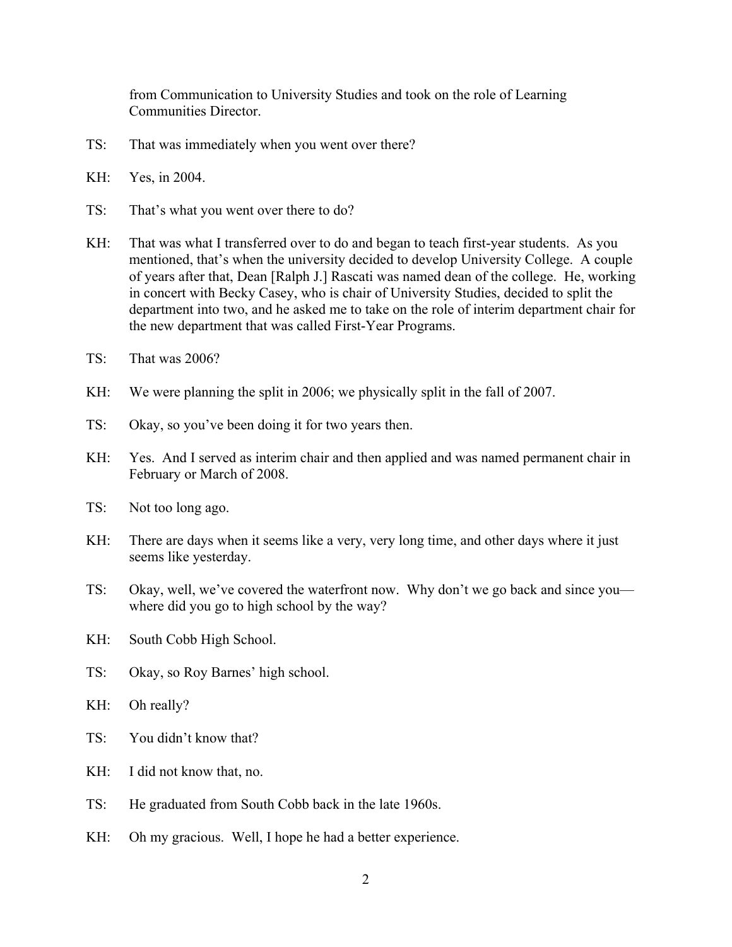from Communication to University Studies and took on the role of Learning Communities Director.

- TS: That was immediately when you went over there?
- KH: Yes, in 2004.
- TS: That's what you went over there to do?
- KH: That was what I transferred over to do and began to teach first-year students. As you mentioned, that's when the university decided to develop University College. A couple of years after that, Dean [Ralph J.] Rascati was named dean of the college. He, working in concert with Becky Casey, who is chair of University Studies, decided to split the department into two, and he asked me to take on the role of interim department chair for the new department that was called First-Year Programs.
- TS: That was 2006?
- KH: We were planning the split in 2006; we physically split in the fall of 2007.
- TS: Okay, so you've been doing it for two years then.
- KH: Yes. And I served as interim chair and then applied and was named permanent chair in February or March of 2008.
- TS: Not too long ago.
- KH: There are days when it seems like a very, very long time, and other days where it just seems like yesterday.
- TS: Okay, well, we've covered the waterfront now. Why don't we go back and since you where did you go to high school by the way?
- KH: South Cobb High School.
- TS: Okay, so Roy Barnes' high school.
- KH: Oh really?
- TS: You didn't know that?
- KH: I did not know that, no.
- TS: He graduated from South Cobb back in the late 1960s.
- KH: Oh my gracious. Well, I hope he had a better experience.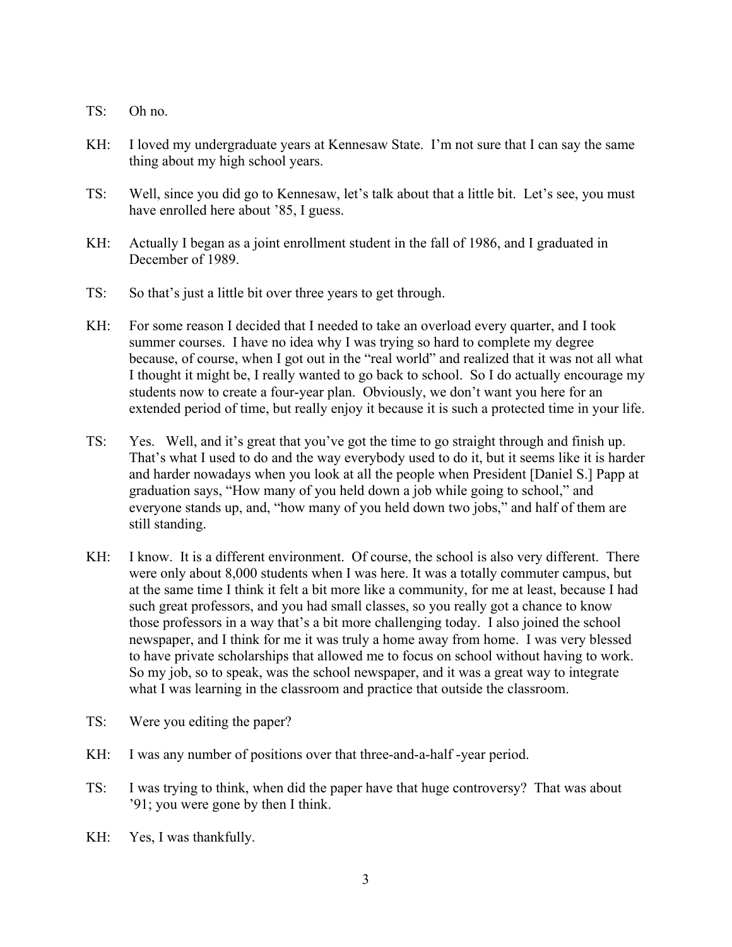- TS: Oh no.
- KH: I loved my undergraduate years at Kennesaw State. I'm not sure that I can say the same thing about my high school years.
- TS: Well, since you did go to Kennesaw, let's talk about that a little bit. Let's see, you must have enrolled here about '85, I guess.
- KH: Actually I began as a joint enrollment student in the fall of 1986, and I graduated in December of 1989.
- TS: So that's just a little bit over three years to get through.
- KH: For some reason I decided that I needed to take an overload every quarter, and I took summer courses. I have no idea why I was trying so hard to complete my degree because, of course, when I got out in the "real world" and realized that it was not all what I thought it might be, I really wanted to go back to school. So I do actually encourage my students now to create a four-year plan. Obviously, we don't want you here for an extended period of time, but really enjoy it because it is such a protected time in your life.
- TS: Yes. Well, and it's great that you've got the time to go straight through and finish up. That's what I used to do and the way everybody used to do it, but it seems like it is harder and harder nowadays when you look at all the people when President [Daniel S.] Papp at graduation says, "How many of you held down a job while going to school," and everyone stands up, and, "how many of you held down two jobs," and half of them are still standing.
- KH: I know. It is a different environment. Of course, the school is also very different. There were only about 8,000 students when I was here. It was a totally commuter campus, but at the same time I think it felt a bit more like a community, for me at least, because I had such great professors, and you had small classes, so you really got a chance to know those professors in a way that's a bit more challenging today. I also joined the school newspaper, and I think for me it was truly a home away from home. I was very blessed to have private scholarships that allowed me to focus on school without having to work. So my job, so to speak, was the school newspaper, and it was a great way to integrate what I was learning in the classroom and practice that outside the classroom.
- TS: Were you editing the paper?
- KH: I was any number of positions over that three-and-a-half-year period.
- TS: I was trying to think, when did the paper have that huge controversy? That was about '91; you were gone by then I think.
- KH: Yes, I was thankfully.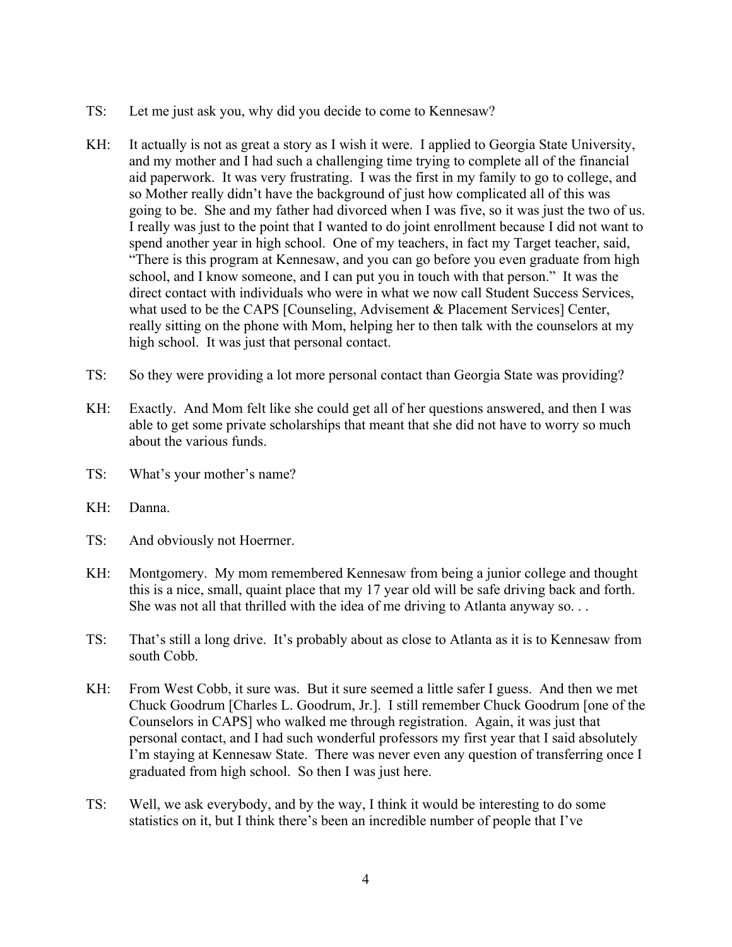- TS: Let me just ask you, why did you decide to come to Kennesaw?
- KH: It actually is not as great a story as I wish it were. I applied to Georgia State University, and my mother and I had such a challenging time trying to complete all of the financial aid paperwork. It was very frustrating. I was the first in my family to go to college, and so Mother really didn't have the background of just how complicated all of this was going to be. She and my father had divorced when I was five, so it was just the two of us. I really was just to the point that I wanted to do joint enrollment because I did not want to spend another year in high school. One of my teachers, in fact my Target teacher, said, "There is this program at Kennesaw, and you can go before you even graduate from high school, and I know someone, and I can put you in touch with that person." It was the direct contact with individuals who were in what we now call Student Success Services, what used to be the CAPS [Counseling, Advisement & Placement Services] Center, really sitting on the phone with Mom, helping her to then talk with the counselors at my high school. It was just that personal contact.
- TS: So they were providing a lot more personal contact than Georgia State was providing?
- KH: Exactly. And Mom felt like she could get all of her questions answered, and then I was able to get some private scholarships that meant that she did not have to worry so much about the various funds.
- TS: What's your mother's name?
- KH: Danna.
- TS: And obviously not Hoerrner.
- KH: Montgomery. My mom remembered Kennesaw from being a junior college and thought this is a nice, small, quaint place that my 17 year old will be safe driving back and forth. She was not all that thrilled with the idea of me driving to Atlanta anyway so. . .
- TS: That's still a long drive. It's probably about as close to Atlanta as it is to Kennesaw from south Cobb.
- KH: From West Cobb, it sure was. But it sure seemed a little safer I guess. And then we met Chuck Goodrum [Charles L. Goodrum, Jr.]. I still remember Chuck Goodrum [one of the Counselors in CAPS] who walked me through registration. Again, it was just that personal contact, and I had such wonderful professors my first year that I said absolutely I'm staying at Kennesaw State. There was never even any question of transferring once I graduated from high school. So then I was just here.
- TS: Well, we ask everybody, and by the way, I think it would be interesting to do some statistics on it, but I think there's been an incredible number of people that I've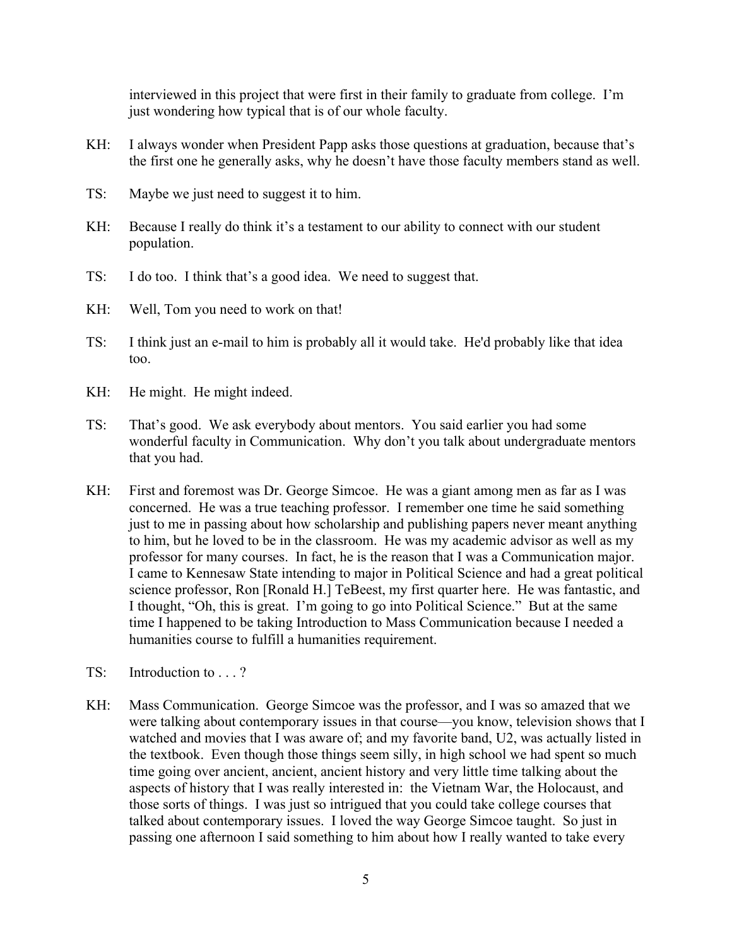interviewed in this project that were first in their family to graduate from college. I'm just wondering how typical that is of our whole faculty.

- KH: I always wonder when President Papp asks those questions at graduation, because that's the first one he generally asks, why he doesn't have those faculty members stand as well.
- TS: Maybe we just need to suggest it to him.
- KH: Because I really do think it's a testament to our ability to connect with our student population.
- TS: I do too. I think that's a good idea. We need to suggest that.
- KH: Well, Tom you need to work on that!
- TS: I think just an e-mail to him is probably all it would take. He'd probably like that idea too.
- KH: He might. He might indeed.
- TS: That's good. We ask everybody about mentors. You said earlier you had some wonderful faculty in Communication. Why don't you talk about undergraduate mentors that you had.
- KH: First and foremost was Dr. George Simcoe. He was a giant among men as far as I was concerned. He was a true teaching professor. I remember one time he said something just to me in passing about how scholarship and publishing papers never meant anything to him, but he loved to be in the classroom. He was my academic advisor as well as my professor for many courses. In fact, he is the reason that I was a Communication major. I came to Kennesaw State intending to major in Political Science and had a great political science professor, Ron [Ronald H.] TeBeest, my first quarter here. He was fantastic, and I thought, "Oh, this is great. I'm going to go into Political Science." But at the same time I happened to be taking Introduction to Mass Communication because I needed a humanities course to fulfill a humanities requirement.
- TS: Introduction to . . . ?
- KH: Mass Communication. George Simcoe was the professor, and I was so amazed that we were talking about contemporary issues in that course—you know, television shows that I watched and movies that I was aware of; and my favorite band, U2, was actually listed in the textbook. Even though those things seem silly, in high school we had spent so much time going over ancient, ancient, ancient history and very little time talking about the aspects of history that I was really interested in: the Vietnam War, the Holocaust, and those sorts of things. I was just so intrigued that you could take college courses that talked about contemporary issues. I loved the way George Simcoe taught. So just in passing one afternoon I said something to him about how I really wanted to take every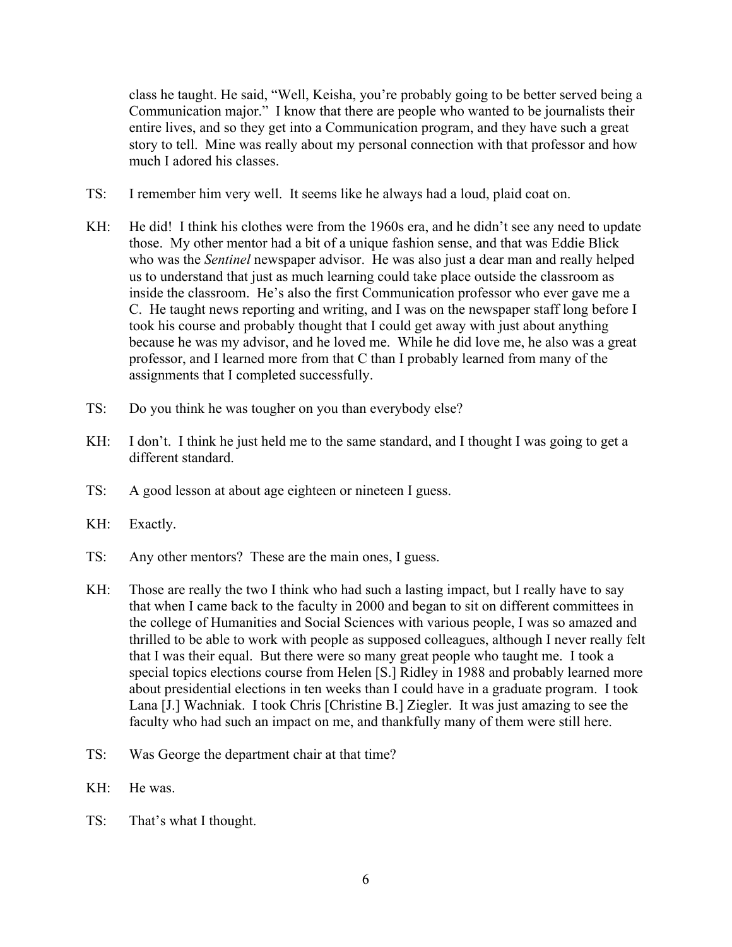class he taught. He said, "Well, Keisha, you're probably going to be better served being a Communication major." I know that there are people who wanted to be journalists their entire lives, and so they get into a Communication program, and they have such a great story to tell. Mine was really about my personal connection with that professor and how much I adored his classes.

- TS: I remember him very well. It seems like he always had a loud, plaid coat on.
- KH: He did! I think his clothes were from the 1960s era, and he didn't see any need to update those. My other mentor had a bit of a unique fashion sense, and that was Eddie Blick who was the *Sentinel* newspaper advisor. He was also just a dear man and really helped us to understand that just as much learning could take place outside the classroom as inside the classroom. He's also the first Communication professor who ever gave me a C. He taught news reporting and writing, and I was on the newspaper staff long before I took his course and probably thought that I could get away with just about anything because he was my advisor, and he loved me. While he did love me, he also was a great professor, and I learned more from that C than I probably learned from many of the assignments that I completed successfully.
- TS: Do you think he was tougher on you than everybody else?
- KH: I don't. I think he just held me to the same standard, and I thought I was going to get a different standard.
- TS: A good lesson at about age eighteen or nineteen I guess.
- KH: Exactly.
- TS: Any other mentors? These are the main ones, I guess.
- KH: Those are really the two I think who had such a lasting impact, but I really have to say that when I came back to the faculty in 2000 and began to sit on different committees in the college of Humanities and Social Sciences with various people, I was so amazed and thrilled to be able to work with people as supposed colleagues, although I never really felt that I was their equal. But there were so many great people who taught me. I took a special topics elections course from Helen [S.] Ridley in 1988 and probably learned more about presidential elections in ten weeks than I could have in a graduate program. I took Lana [J.] Wachniak. I took Chris [Christine B.] Ziegler. It was just amazing to see the faculty who had such an impact on me, and thankfully many of them were still here.
- TS: Was George the department chair at that time?
- KH: He was.
- TS: That's what I thought.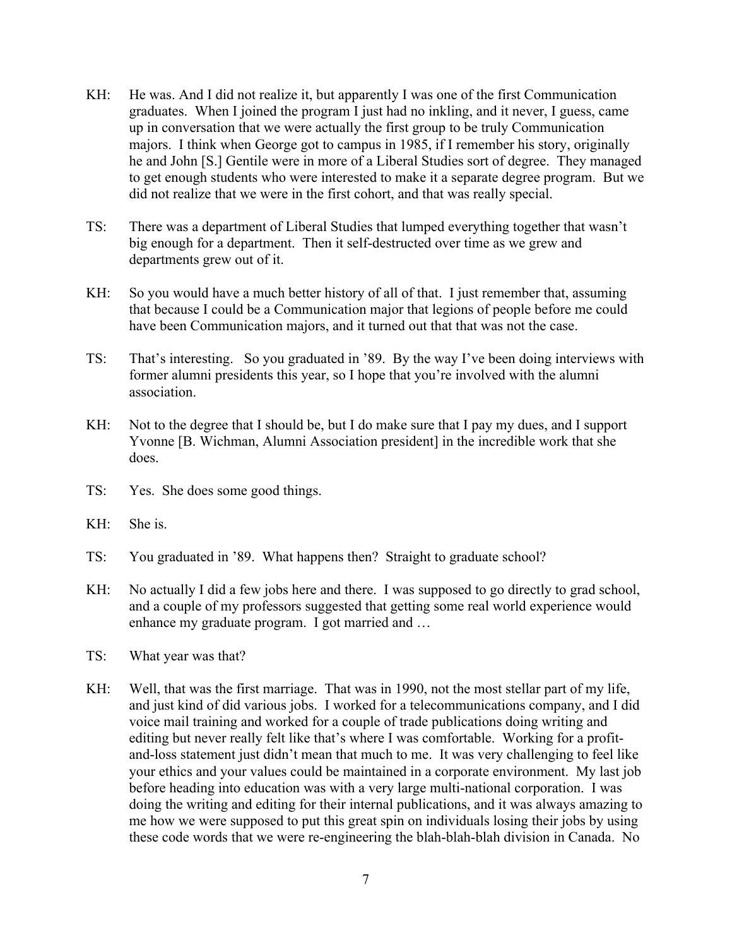- KH: He was. And I did not realize it, but apparently I was one of the first Communication graduates. When I joined the program I just had no inkling, and it never, I guess, came up in conversation that we were actually the first group to be truly Communication majors. I think when George got to campus in 1985, if I remember his story, originally he and John [S.] Gentile were in more of a Liberal Studies sort of degree. They managed to get enough students who were interested to make it a separate degree program. But we did not realize that we were in the first cohort, and that was really special.
- TS: There was a department of Liberal Studies that lumped everything together that wasn't big enough for a department. Then it self-destructed over time as we grew and departments grew out of it.
- KH: So you would have a much better history of all of that. I just remember that, assuming that because I could be a Communication major that legions of people before me could have been Communication majors, and it turned out that that was not the case.
- TS: That's interesting. So you graduated in '89. By the way I've been doing interviews with former alumni presidents this year, so I hope that you're involved with the alumni association.
- KH: Not to the degree that I should be, but I do make sure that I pay my dues, and I support Yvonne [B. Wichman, Alumni Association president] in the incredible work that she does.
- TS: Yes. She does some good things.
- KH: She is.
- TS: You graduated in '89. What happens then? Straight to graduate school?
- KH: No actually I did a few jobs here and there. I was supposed to go directly to grad school, and a couple of my professors suggested that getting some real world experience would enhance my graduate program. I got married and …
- TS: What year was that?
- KH: Well, that was the first marriage. That was in 1990, not the most stellar part of my life, and just kind of did various jobs. I worked for a telecommunications company, and I did voice mail training and worked for a couple of trade publications doing writing and editing but never really felt like that's where I was comfortable. Working for a profitand-loss statement just didn't mean that much to me. It was very challenging to feel like your ethics and your values could be maintained in a corporate environment. My last job before heading into education was with a very large multi-national corporation. I was doing the writing and editing for their internal publications, and it was always amazing to me how we were supposed to put this great spin on individuals losing their jobs by using these code words that we were re-engineering the blah-blah-blah division in Canada. No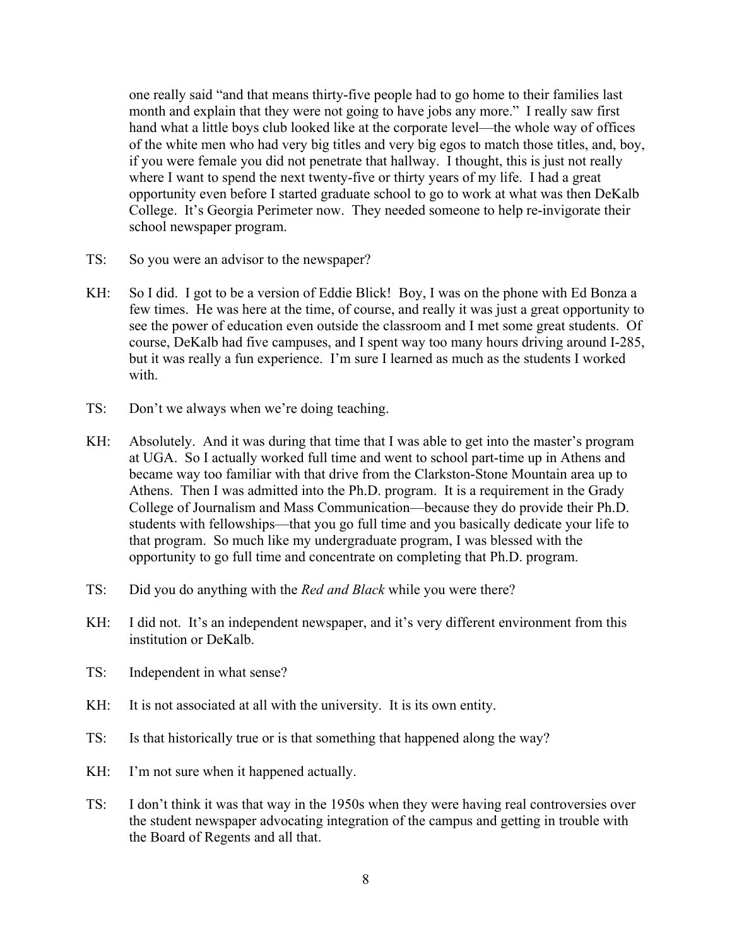one really said "and that means thirty-five people had to go home to their families last month and explain that they were not going to have jobs any more." I really saw first hand what a little boys club looked like at the corporate level—the whole way of offices of the white men who had very big titles and very big egos to match those titles, and, boy, if you were female you did not penetrate that hallway. I thought, this is just not really where I want to spend the next twenty-five or thirty years of my life. I had a great opportunity even before I started graduate school to go to work at what was then DeKalb College. It's Georgia Perimeter now. They needed someone to help re-invigorate their school newspaper program.

- TS: So you were an advisor to the newspaper?
- KH: So I did. I got to be a version of Eddie Blick! Boy, I was on the phone with Ed Bonza a few times. He was here at the time, of course, and really it was just a great opportunity to see the power of education even outside the classroom and I met some great students. Of course, DeKalb had five campuses, and I spent way too many hours driving around I-285, but it was really a fun experience. I'm sure I learned as much as the students I worked with.
- TS: Don't we always when we're doing teaching.
- KH: Absolutely. And it was during that time that I was able to get into the master's program at UGA. So I actually worked full time and went to school part-time up in Athens and became way too familiar with that drive from the Clarkston-Stone Mountain area up to Athens. Then I was admitted into the Ph.D. program. It is a requirement in the Grady College of Journalism and Mass Communication—because they do provide their Ph.D. students with fellowships—that you go full time and you basically dedicate your life to that program. So much like my undergraduate program, I was blessed with the opportunity to go full time and concentrate on completing that Ph.D. program.
- TS: Did you do anything with the *Red and Black* while you were there?
- KH: I did not. It's an independent newspaper, and it's very different environment from this institution or DeKalb.
- TS: Independent in what sense?
- KH: It is not associated at all with the university. It is its own entity.
- TS: Is that historically true or is that something that happened along the way?
- KH: I'm not sure when it happened actually.
- TS: I don't think it was that way in the 1950s when they were having real controversies over the student newspaper advocating integration of the campus and getting in trouble with the Board of Regents and all that.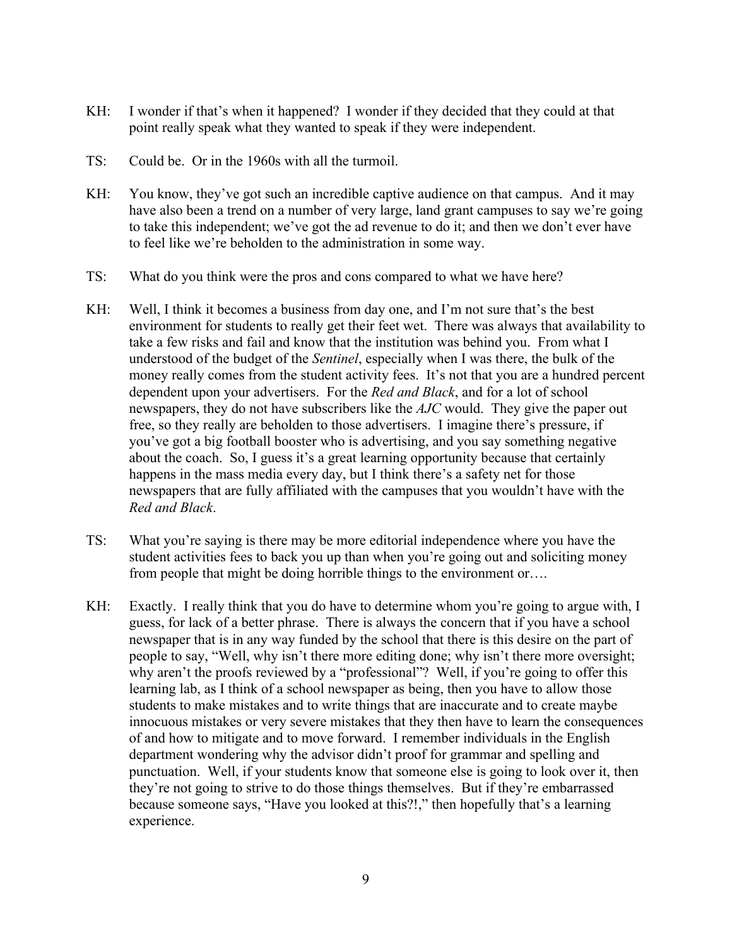- KH: I wonder if that's when it happened? I wonder if they decided that they could at that point really speak what they wanted to speak if they were independent.
- TS: Could be. Or in the 1960s with all the turmoil.
- KH: You know, they've got such an incredible captive audience on that campus. And it may have also been a trend on a number of very large, land grant campuses to say we're going to take this independent; we've got the ad revenue to do it; and then we don't ever have to feel like we're beholden to the administration in some way.
- TS: What do you think were the pros and cons compared to what we have here?
- KH: Well, I think it becomes a business from day one, and I'm not sure that's the best environment for students to really get their feet wet. There was always that availability to take a few risks and fail and know that the institution was behind you. From what I understood of the budget of the *Sentinel*, especially when I was there, the bulk of the money really comes from the student activity fees. It's not that you are a hundred percent dependent upon your advertisers. For the *Red and Black*, and for a lot of school newspapers, they do not have subscribers like the *AJC* would. They give the paper out free, so they really are beholden to those advertisers. I imagine there's pressure, if you've got a big football booster who is advertising, and you say something negative about the coach. So, I guess it's a great learning opportunity because that certainly happens in the mass media every day, but I think there's a safety net for those newspapers that are fully affiliated with the campuses that you wouldn't have with the *Red and Black*.
- TS: What you're saying is there may be more editorial independence where you have the student activities fees to back you up than when you're going out and soliciting money from people that might be doing horrible things to the environment or….
- KH: Exactly. I really think that you do have to determine whom you're going to argue with, I guess, for lack of a better phrase. There is always the concern that if you have a school newspaper that is in any way funded by the school that there is this desire on the part of people to say, "Well, why isn't there more editing done; why isn't there more oversight; why aren't the proofs reviewed by a "professional"? Well, if you're going to offer this learning lab, as I think of a school newspaper as being, then you have to allow those students to make mistakes and to write things that are inaccurate and to create maybe innocuous mistakes or very severe mistakes that they then have to learn the consequences of and how to mitigate and to move forward. I remember individuals in the English department wondering why the advisor didn't proof for grammar and spelling and punctuation. Well, if your students know that someone else is going to look over it, then they're not going to strive to do those things themselves. But if they're embarrassed because someone says, "Have you looked at this?!," then hopefully that's a learning experience.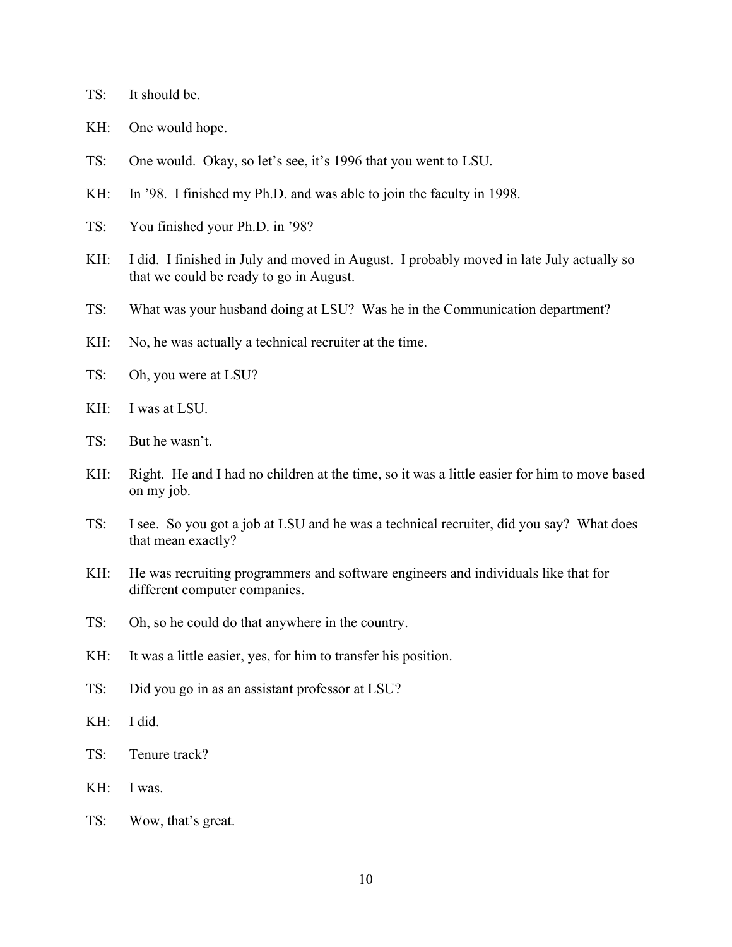- TS: It should be.
- KH: One would hope.
- TS: One would. Okay, so let's see, it's 1996 that you went to LSU.
- KH: In '98. I finished my Ph.D. and was able to join the faculty in 1998.
- TS: You finished your Ph.D. in '98?
- KH: I did. I finished in July and moved in August. I probably moved in late July actually so that we could be ready to go in August.
- TS: What was your husband doing at LSU? Was he in the Communication department?
- KH: No, he was actually a technical recruiter at the time.
- TS: Oh, you were at LSU?
- KH: I was at LSU.
- TS: But he wasn't.
- KH: Right. He and I had no children at the time, so it was a little easier for him to move based on my job.
- TS: I see. So you got a job at LSU and he was a technical recruiter, did you say? What does that mean exactly?
- KH: He was recruiting programmers and software engineers and individuals like that for different computer companies.
- TS: Oh, so he could do that anywhere in the country.
- KH: It was a little easier, yes, for him to transfer his position.
- TS: Did you go in as an assistant professor at LSU?
- KH: I did.
- TS: Tenure track?
- KH: I was.
- TS: Wow, that's great.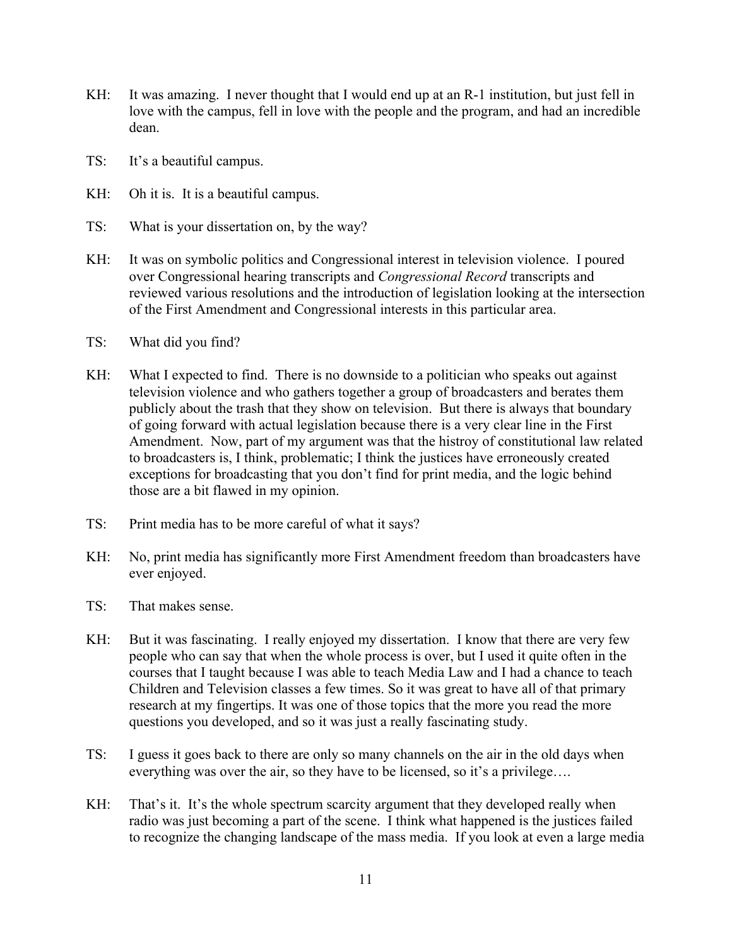- KH: It was amazing. I never thought that I would end up at an R-1 institution, but just fell in love with the campus, fell in love with the people and the program, and had an incredible dean.
- TS: It's a beautiful campus.
- KH: Oh it is. It is a beautiful campus.
- TS: What is your dissertation on, by the way?
- KH: It was on symbolic politics and Congressional interest in television violence. I poured over Congressional hearing transcripts and *Congressional Record* transcripts and reviewed various resolutions and the introduction of legislation looking at the intersection of the First Amendment and Congressional interests in this particular area.
- TS: What did you find?
- KH: What I expected to find. There is no downside to a politician who speaks out against television violence and who gathers together a group of broadcasters and berates them publicly about the trash that they show on television. But there is always that boundary of going forward with actual legislation because there is a very clear line in the First Amendment. Now, part of my argument was that the histroy of constitutional law related to broadcasters is, I think, problematic; I think the justices have erroneously created exceptions for broadcasting that you don't find for print media, and the logic behind those are a bit flawed in my opinion.
- TS: Print media has to be more careful of what it says?
- KH: No, print media has significantly more First Amendment freedom than broadcasters have ever enjoyed.
- TS: That makes sense.
- KH: But it was fascinating. I really enjoyed my dissertation. I know that there are very few people who can say that when the whole process is over, but I used it quite often in the courses that I taught because I was able to teach Media Law and I had a chance to teach Children and Television classes a few times. So it was great to have all of that primary research at my fingertips. It was one of those topics that the more you read the more questions you developed, and so it was just a really fascinating study.
- TS: I guess it goes back to there are only so many channels on the air in the old days when everything was over the air, so they have to be licensed, so it's a privilege….
- KH: That's it. It's the whole spectrum scarcity argument that they developed really when radio was just becoming a part of the scene. I think what happened is the justices failed to recognize the changing landscape of the mass media. If you look at even a large media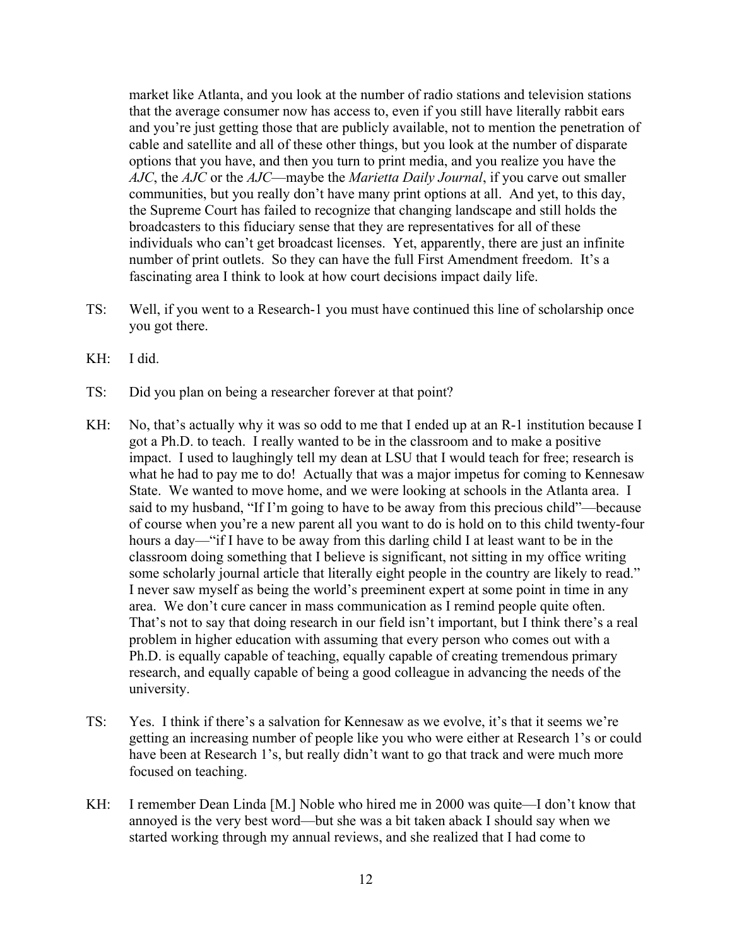market like Atlanta, and you look at the number of radio stations and television stations that the average consumer now has access to, even if you still have literally rabbit ears and you're just getting those that are publicly available, not to mention the penetration of cable and satellite and all of these other things, but you look at the number of disparate options that you have, and then you turn to print media, and you realize you have the *AJC*, the *AJC* or the *AJC*—maybe the *Marietta Daily Journal*, if you carve out smaller communities, but you really don't have many print options at all. And yet, to this day, the Supreme Court has failed to recognize that changing landscape and still holds the broadcasters to this fiduciary sense that they are representatives for all of these individuals who can't get broadcast licenses. Yet, apparently, there are just an infinite number of print outlets. So they can have the full First Amendment freedom. It's a fascinating area I think to look at how court decisions impact daily life.

- TS: Well, if you went to a Research-1 you must have continued this line of scholarship once you got there.
- KH: I did.
- TS: Did you plan on being a researcher forever at that point?
- KH: No, that's actually why it was so odd to me that I ended up at an R-1 institution because I got a Ph.D. to teach. I really wanted to be in the classroom and to make a positive impact. I used to laughingly tell my dean at LSU that I would teach for free; research is what he had to pay me to do! Actually that was a major impetus for coming to Kennesaw State. We wanted to move home, and we were looking at schools in the Atlanta area. I said to my husband, "If I'm going to have to be away from this precious child"—because of course when you're a new parent all you want to do is hold on to this child twenty-four hours a day—"if I have to be away from this darling child I at least want to be in the classroom doing something that I believe is significant, not sitting in my office writing some scholarly journal article that literally eight people in the country are likely to read." I never saw myself as being the world's preeminent expert at some point in time in any area. We don't cure cancer in mass communication as I remind people quite often. That's not to say that doing research in our field isn't important, but I think there's a real problem in higher education with assuming that every person who comes out with a Ph.D. is equally capable of teaching, equally capable of creating tremendous primary research, and equally capable of being a good colleague in advancing the needs of the university.
- TS: Yes. I think if there's a salvation for Kennesaw as we evolve, it's that it seems we're getting an increasing number of people like you who were either at Research 1's or could have been at Research 1's, but really didn't want to go that track and were much more focused on teaching.
- KH: I remember Dean Linda [M.] Noble who hired me in 2000 was quite—I don't know that annoyed is the very best word—but she was a bit taken aback I should say when we started working through my annual reviews, and she realized that I had come to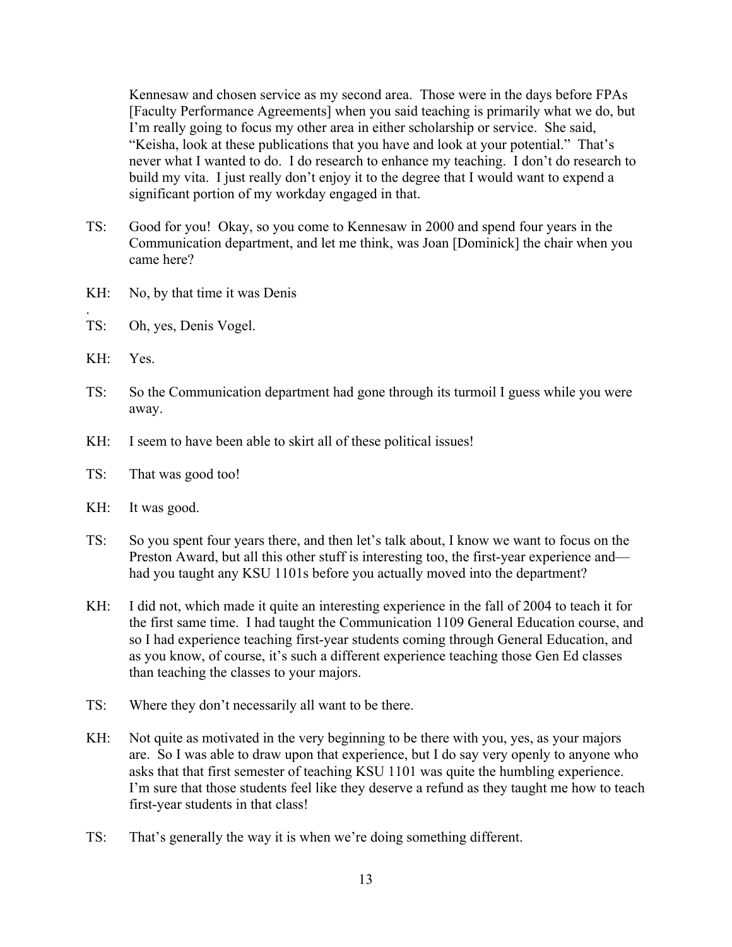Kennesaw and chosen service as my second area. Those were in the days before FPAs [Faculty Performance Agreements] when you said teaching is primarily what we do, but I'm really going to focus my other area in either scholarship or service. She said, "Keisha, look at these publications that you have and look at your potential." That's never what I wanted to do. I do research to enhance my teaching. I don't do research to build my vita. I just really don't enjoy it to the degree that I would want to expend a significant portion of my workday engaged in that.

- TS: Good for you! Okay, so you come to Kennesaw in 2000 and spend four years in the Communication department, and let me think, was Joan [Dominick] the chair when you came here?
- KH: No, by that time it was Denis
- TS: Oh, yes, Denis Vogel.
- KH: Yes.

.

- TS: So the Communication department had gone through its turmoil I guess while you were away.
- KH: I seem to have been able to skirt all of these political issues!
- TS: That was good too!
- KH: It was good.
- TS: So you spent four years there, and then let's talk about, I know we want to focus on the Preston Award, but all this other stuff is interesting too, the first-year experience and had you taught any KSU 1101s before you actually moved into the department?
- KH: I did not, which made it quite an interesting experience in the fall of 2004 to teach it for the first same time. I had taught the Communication 1109 General Education course, and so I had experience teaching first-year students coming through General Education, and as you know, of course, it's such a different experience teaching those Gen Ed classes than teaching the classes to your majors.
- TS: Where they don't necessarily all want to be there.
- KH: Not quite as motivated in the very beginning to be there with you, yes, as your majors are. So I was able to draw upon that experience, but I do say very openly to anyone who asks that that first semester of teaching KSU 1101 was quite the humbling experience. I'm sure that those students feel like they deserve a refund as they taught me how to teach first-year students in that class!
- TS: That's generally the way it is when we're doing something different.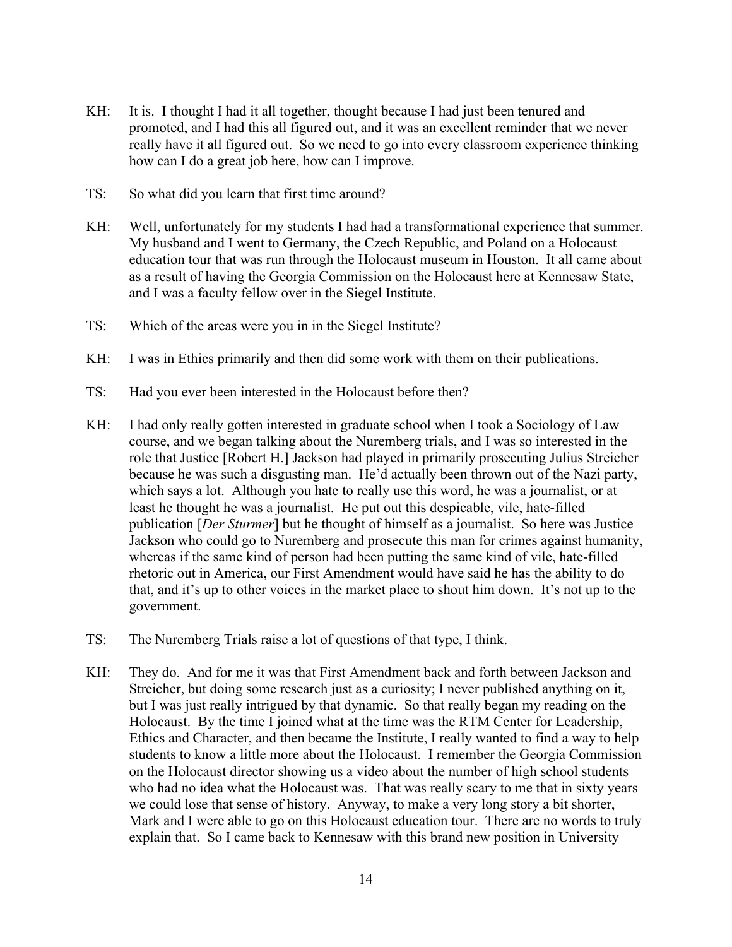- KH: It is. I thought I had it all together, thought because I had just been tenured and promoted, and I had this all figured out, and it was an excellent reminder that we never really have it all figured out. So we need to go into every classroom experience thinking how can I do a great job here, how can I improve.
- TS: So what did you learn that first time around?
- KH: Well, unfortunately for my students I had had a transformational experience that summer. My husband and I went to Germany, the Czech Republic, and Poland on a Holocaust education tour that was run through the Holocaust museum in Houston. It all came about as a result of having the Georgia Commission on the Holocaust here at Kennesaw State, and I was a faculty fellow over in the Siegel Institute.
- TS: Which of the areas were you in in the Siegel Institute?
- KH: I was in Ethics primarily and then did some work with them on their publications.
- TS: Had you ever been interested in the Holocaust before then?
- KH: I had only really gotten interested in graduate school when I took a Sociology of Law course, and we began talking about the Nuremberg trials, and I was so interested in the role that Justice [Robert H.] Jackson had played in primarily prosecuting Julius Streicher because he was such a disgusting man. He'd actually been thrown out of the Nazi party, which says a lot. Although you hate to really use this word, he was a journalist, or at least he thought he was a journalist. He put out this despicable, vile, hate-filled publication [*Der Sturmer*] but he thought of himself as a journalist. So here was Justice Jackson who could go to Nuremberg and prosecute this man for crimes against humanity, whereas if the same kind of person had been putting the same kind of vile, hate-filled rhetoric out in America, our First Amendment would have said he has the ability to do that, and it's up to other voices in the market place to shout him down. It's not up to the government.
- TS: The Nuremberg Trials raise a lot of questions of that type, I think.
- KH: They do. And for me it was that First Amendment back and forth between Jackson and Streicher, but doing some research just as a curiosity; I never published anything on it, but I was just really intrigued by that dynamic. So that really began my reading on the Holocaust. By the time I joined what at the time was the RTM Center for Leadership, Ethics and Character, and then became the Institute, I really wanted to find a way to help students to know a little more about the Holocaust. I remember the Georgia Commission on the Holocaust director showing us a video about the number of high school students who had no idea what the Holocaust was. That was really scary to me that in sixty years we could lose that sense of history. Anyway, to make a very long story a bit shorter, Mark and I were able to go on this Holocaust education tour. There are no words to truly explain that. So I came back to Kennesaw with this brand new position in University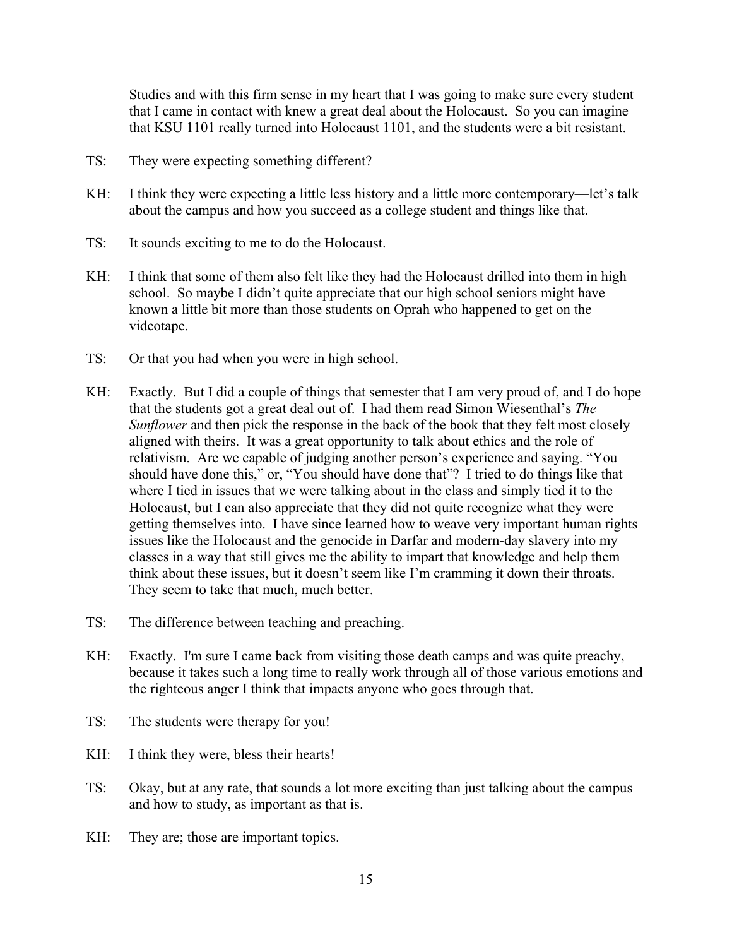Studies and with this firm sense in my heart that I was going to make sure every student that I came in contact with knew a great deal about the Holocaust. So you can imagine that KSU 1101 really turned into Holocaust 1101, and the students were a bit resistant.

- TS: They were expecting something different?
- KH: I think they were expecting a little less history and a little more contemporary—let's talk about the campus and how you succeed as a college student and things like that.
- TS: It sounds exciting to me to do the Holocaust.
- KH: I think that some of them also felt like they had the Holocaust drilled into them in high school. So maybe I didn't quite appreciate that our high school seniors might have known a little bit more than those students on Oprah who happened to get on the videotape.
- TS: Or that you had when you were in high school.
- KH: Exactly. But I did a couple of things that semester that I am very proud of, and I do hope that the students got a great deal out of. I had them read Simon Wiesenthal's *The Sunflower* and then pick the response in the back of the book that they felt most closely aligned with theirs. It was a great opportunity to talk about ethics and the role of relativism. Are we capable of judging another person's experience and saying. "You should have done this," or, "You should have done that"? I tried to do things like that where I tied in issues that we were talking about in the class and simply tied it to the Holocaust, but I can also appreciate that they did not quite recognize what they were getting themselves into. I have since learned how to weave very important human rights issues like the Holocaust and the genocide in Darfar and modern-day slavery into my classes in a way that still gives me the ability to impart that knowledge and help them think about these issues, but it doesn't seem like I'm cramming it down their throats. They seem to take that much, much better.
- TS: The difference between teaching and preaching.
- KH: Exactly. I'm sure I came back from visiting those death camps and was quite preachy, because it takes such a long time to really work through all of those various emotions and the righteous anger I think that impacts anyone who goes through that.
- TS: The students were therapy for you!
- KH: I think they were, bless their hearts!
- TS: Okay, but at any rate, that sounds a lot more exciting than just talking about the campus and how to study, as important as that is.
- KH: They are; those are important topics.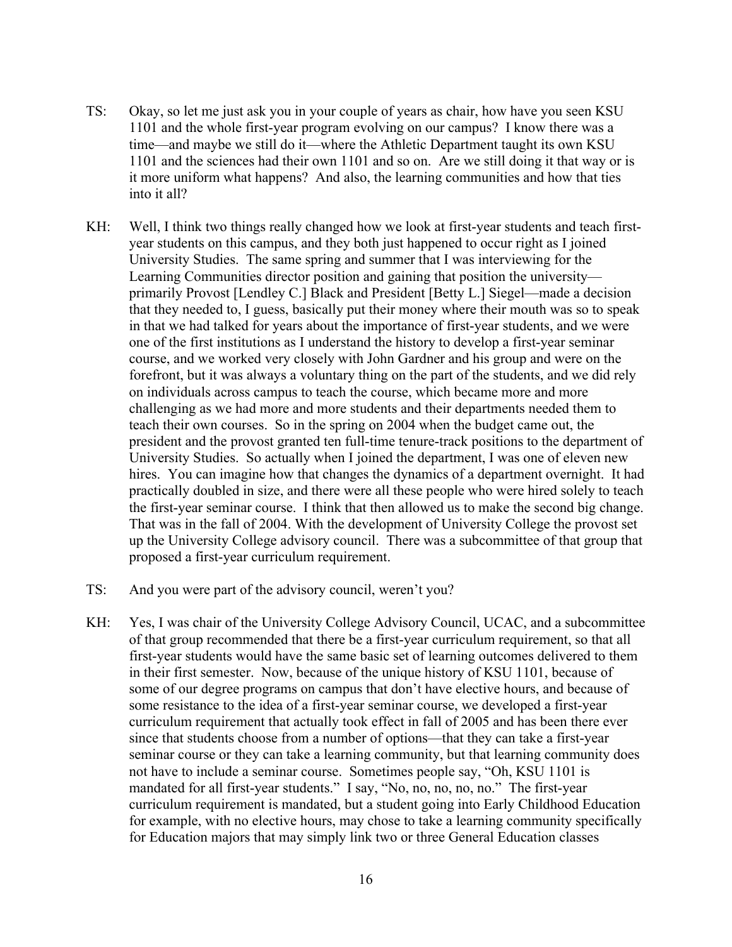- TS: Okay, so let me just ask you in your couple of years as chair, how have you seen KSU 1101 and the whole first-year program evolving on our campus? I know there was a time—and maybe we still do it—where the Athletic Department taught its own KSU 1101 and the sciences had their own 1101 and so on. Are we still doing it that way or is it more uniform what happens? And also, the learning communities and how that ties into it all?
- KH: Well, I think two things really changed how we look at first-year students and teach firstyear students on this campus, and they both just happened to occur right as I joined University Studies. The same spring and summer that I was interviewing for the Learning Communities director position and gaining that position the university primarily Provost [Lendley C.] Black and President [Betty L.] Siegel—made a decision that they needed to, I guess, basically put their money where their mouth was so to speak in that we had talked for years about the importance of first-year students, and we were one of the first institutions as I understand the history to develop a first-year seminar course, and we worked very closely with John Gardner and his group and were on the forefront, but it was always a voluntary thing on the part of the students, and we did rely on individuals across campus to teach the course, which became more and more challenging as we had more and more students and their departments needed them to teach their own courses. So in the spring on 2004 when the budget came out, the president and the provost granted ten full-time tenure-track positions to the department of University Studies. So actually when I joined the department, I was one of eleven new hires. You can imagine how that changes the dynamics of a department overnight. It had practically doubled in size, and there were all these people who were hired solely to teach the first-year seminar course. I think that then allowed us to make the second big change. That was in the fall of 2004. With the development of University College the provost set up the University College advisory council. There was a subcommittee of that group that proposed a first-year curriculum requirement.
- TS: And you were part of the advisory council, weren't you?
- KH: Yes, I was chair of the University College Advisory Council, UCAC, and a subcommittee of that group recommended that there be a first-year curriculum requirement, so that all first-year students would have the same basic set of learning outcomes delivered to them in their first semester. Now, because of the unique history of KSU 1101, because of some of our degree programs on campus that don't have elective hours, and because of some resistance to the idea of a first-year seminar course, we developed a first-year curriculum requirement that actually took effect in fall of 2005 and has been there ever since that students choose from a number of options—that they can take a first-year seminar course or they can take a learning community, but that learning community does not have to include a seminar course. Sometimes people say, "Oh, KSU 1101 is mandated for all first-year students." I say, "No, no, no, no, no." The first-year curriculum requirement is mandated, but a student going into Early Childhood Education for example, with no elective hours, may chose to take a learning community specifically for Education majors that may simply link two or three General Education classes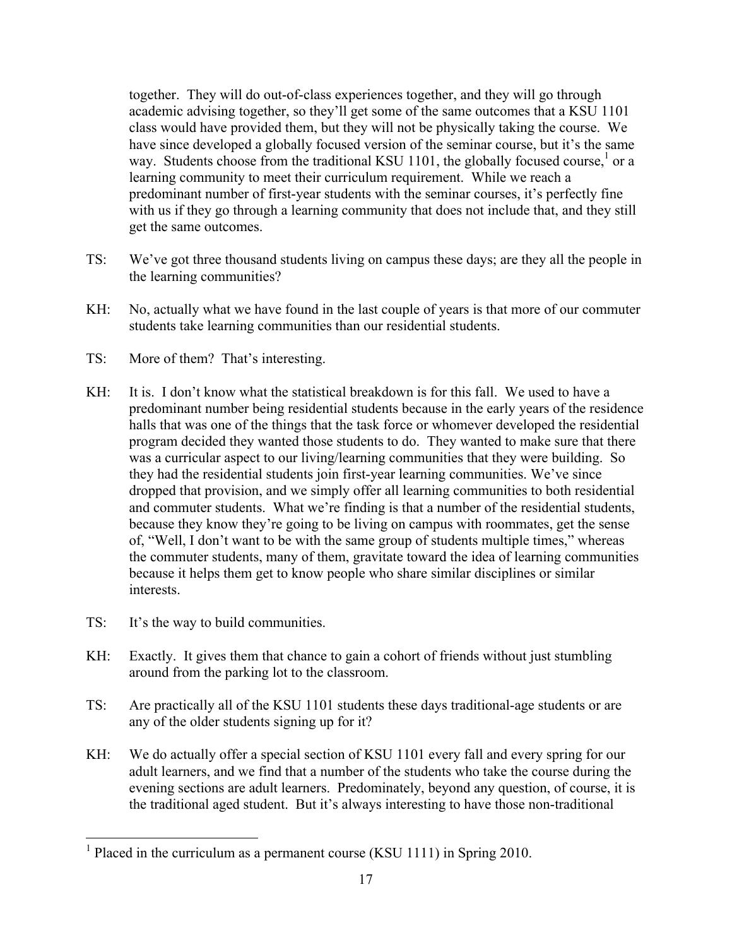together. They will do out-of-class experiences together, and they will go through academic advising together, so they'll get some of the same outcomes that a KSU 1101 class would have provided them, but they will not be physically taking the course. We have since developed a globally focused version of the seminar course, but it's the same way. Students choose from the traditional KSU 1101, the globally focused course,<sup>1</sup> or a learning community to meet their curriculum requirement. While we reach a predominant number of first-year students with the seminar courses, it's perfectly fine with us if they go through a learning community that does not include that, and they still get the same outcomes.

- TS: We've got three thousand students living on campus these days; are they all the people in the learning communities?
- KH: No, actually what we have found in the last couple of years is that more of our commuter students take learning communities than our residential students.
- TS: More of them? That's interesting.
- KH: It is. I don't know what the statistical breakdown is for this fall. We used to have a predominant number being residential students because in the early years of the residence halls that was one of the things that the task force or whomever developed the residential program decided they wanted those students to do. They wanted to make sure that there was a curricular aspect to our living/learning communities that they were building. So they had the residential students join first-year learning communities. We've since dropped that provision, and we simply offer all learning communities to both residential and commuter students. What we're finding is that a number of the residential students, because they know they're going to be living on campus with roommates, get the sense of, "Well, I don't want to be with the same group of students multiple times," whereas the commuter students, many of them, gravitate toward the idea of learning communities because it helps them get to know people who share similar disciplines or similar interests.
- TS: It's the way to build communities.
- KH: Exactly. It gives them that chance to gain a cohort of friends without just stumbling around from the parking lot to the classroom.
- TS: Are practically all of the KSU 1101 students these days traditional-age students or are any of the older students signing up for it?
- KH: We do actually offer a special section of KSU 1101 every fall and every spring for our adult learners, and we find that a number of the students who take the course during the evening sections are adult learners. Predominately, beyond any question, of course, it is the traditional aged student. But it's always interesting to have those non-traditional

<sup>&</sup>lt;sup>1</sup> Placed in the curriculum as a permanent course (KSU 1111) in Spring 2010.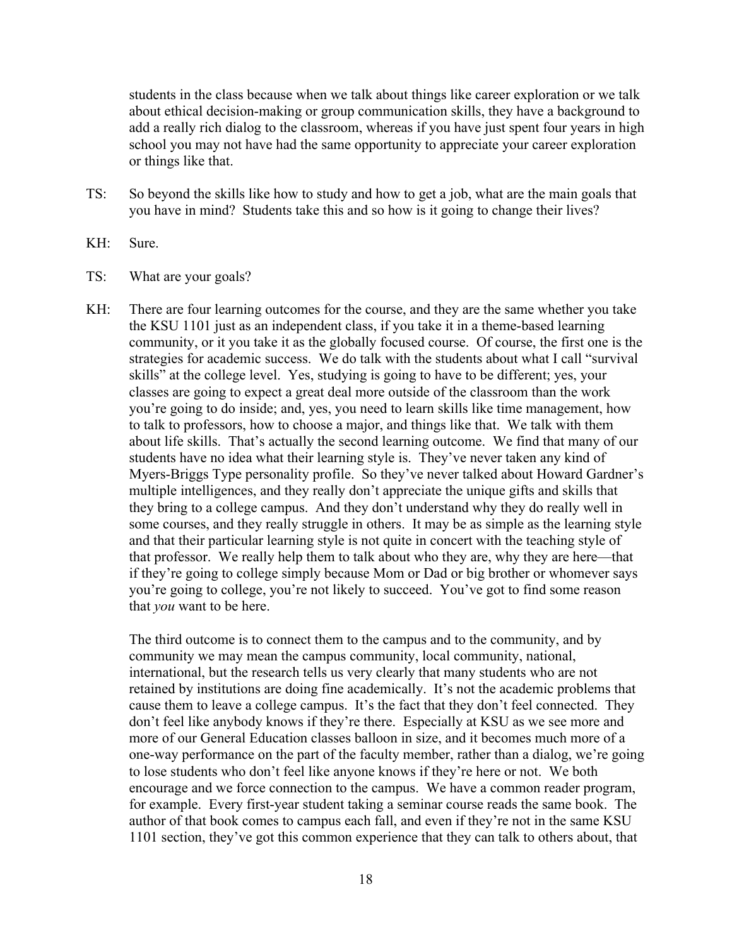students in the class because when we talk about things like career exploration or we talk about ethical decision-making or group communication skills, they have a background to add a really rich dialog to the classroom, whereas if you have just spent four years in high school you may not have had the same opportunity to appreciate your career exploration or things like that.

- TS: So beyond the skills like how to study and how to get a job, what are the main goals that you have in mind? Students take this and so how is it going to change their lives?
- KH: Sure.
- TS: What are your goals?
- KH: There are four learning outcomes for the course, and they are the same whether you take the KSU 1101 just as an independent class, if you take it in a theme-based learning community, or it you take it as the globally focused course. Of course, the first one is the strategies for academic success. We do talk with the students about what I call "survival skills" at the college level. Yes, studying is going to have to be different; yes, your classes are going to expect a great deal more outside of the classroom than the work you're going to do inside; and, yes, you need to learn skills like time management, how to talk to professors, how to choose a major, and things like that. We talk with them about life skills. That's actually the second learning outcome. We find that many of our students have no idea what their learning style is. They've never taken any kind of Myers-Briggs Type personality profile. So they've never talked about Howard Gardner's multiple intelligences, and they really don't appreciate the unique gifts and skills that they bring to a college campus. And they don't understand why they do really well in some courses, and they really struggle in others. It may be as simple as the learning style and that their particular learning style is not quite in concert with the teaching style of that professor. We really help them to talk about who they are, why they are here—that if they're going to college simply because Mom or Dad or big brother or whomever says you're going to college, you're not likely to succeed. You've got to find some reason that *you* want to be here.

The third outcome is to connect them to the campus and to the community, and by community we may mean the campus community, local community, national, international, but the research tells us very clearly that many students who are not retained by institutions are doing fine academically. It's not the academic problems that cause them to leave a college campus. It's the fact that they don't feel connected. They don't feel like anybody knows if they're there. Especially at KSU as we see more and more of our General Education classes balloon in size, and it becomes much more of a one-way performance on the part of the faculty member, rather than a dialog, we're going to lose students who don't feel like anyone knows if they're here or not. We both encourage and we force connection to the campus. We have a common reader program, for example. Every first-year student taking a seminar course reads the same book. The author of that book comes to campus each fall, and even if they're not in the same KSU 1101 section, they've got this common experience that they can talk to others about, that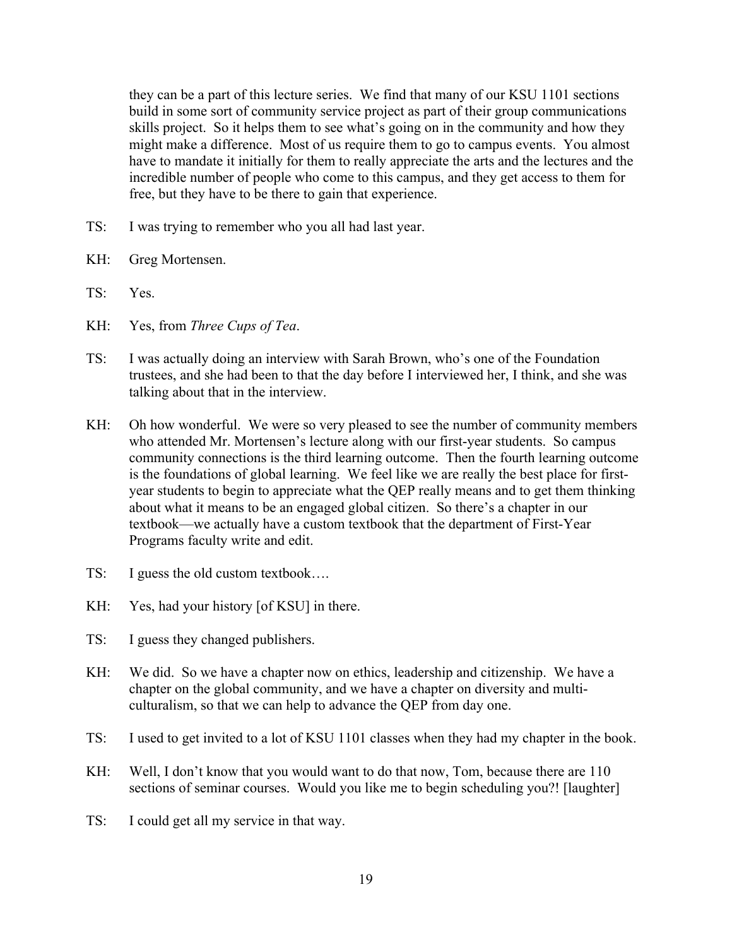they can be a part of this lecture series. We find that many of our KSU 1101 sections build in some sort of community service project as part of their group communications skills project. So it helps them to see what's going on in the community and how they might make a difference. Most of us require them to go to campus events. You almost have to mandate it initially for them to really appreciate the arts and the lectures and the incredible number of people who come to this campus, and they get access to them for free, but they have to be there to gain that experience.

- TS: I was trying to remember who you all had last year.
- KH: Greg Mortensen.
- TS: Yes.
- KH: Yes, from *Three Cups of Tea*.
- TS: I was actually doing an interview with Sarah Brown, who's one of the Foundation trustees, and she had been to that the day before I interviewed her, I think, and she was talking about that in the interview.
- KH: Oh how wonderful. We were so very pleased to see the number of community members who attended Mr. Mortensen's lecture along with our first-year students. So campus community connections is the third learning outcome. Then the fourth learning outcome is the foundations of global learning. We feel like we are really the best place for firstyear students to begin to appreciate what the QEP really means and to get them thinking about what it means to be an engaged global citizen. So there's a chapter in our textbook—we actually have a custom textbook that the department of First-Year Programs faculty write and edit.
- TS: I guess the old custom textbook....
- KH: Yes, had your history [of KSU] in there.
- TS: I guess they changed publishers.
- KH: We did. So we have a chapter now on ethics, leadership and citizenship. We have a chapter on the global community, and we have a chapter on diversity and multiculturalism, so that we can help to advance the QEP from day one.
- TS: I used to get invited to a lot of KSU 1101 classes when they had my chapter in the book.
- KH: Well, I don't know that you would want to do that now, Tom, because there are 110 sections of seminar courses. Would you like me to begin scheduling you?! [laughter]
- TS: I could get all my service in that way.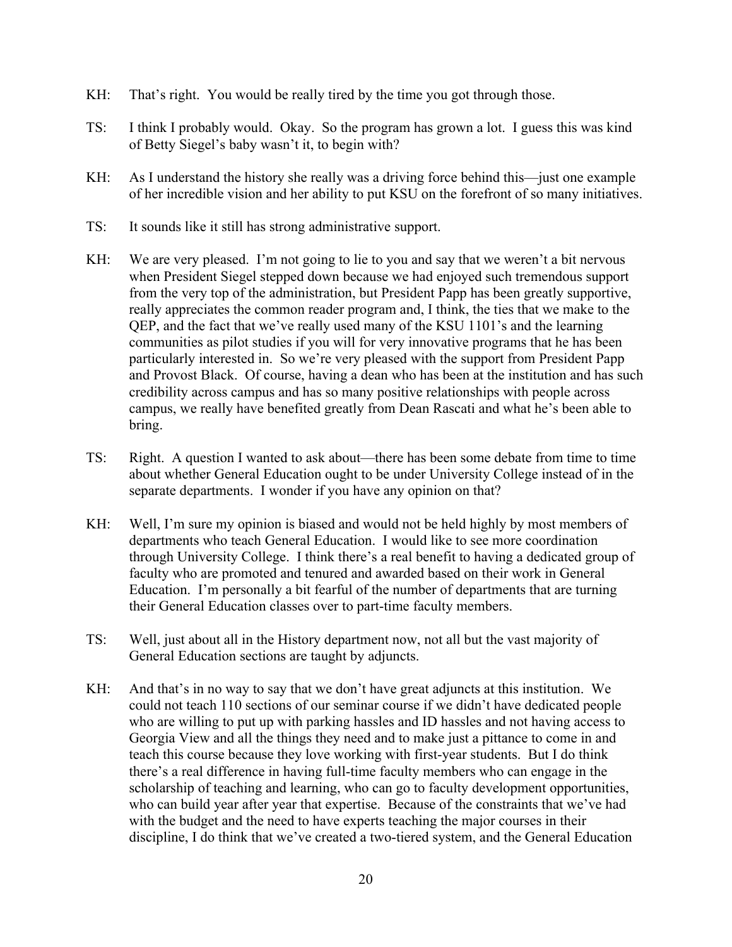- KH: That's right. You would be really tired by the time you got through those.
- TS: I think I probably would. Okay. So the program has grown a lot. I guess this was kind of Betty Siegel's baby wasn't it, to begin with?
- KH: As I understand the history she really was a driving force behind this—just one example of her incredible vision and her ability to put KSU on the forefront of so many initiatives.
- TS: It sounds like it still has strong administrative support.
- KH: We are very pleased. I'm not going to lie to you and say that we weren't a bit nervous when President Siegel stepped down because we had enjoyed such tremendous support from the very top of the administration, but President Papp has been greatly supportive, really appreciates the common reader program and, I think, the ties that we make to the QEP, and the fact that we've really used many of the KSU 1101's and the learning communities as pilot studies if you will for very innovative programs that he has been particularly interested in. So we're very pleased with the support from President Papp and Provost Black. Of course, having a dean who has been at the institution and has such credibility across campus and has so many positive relationships with people across campus, we really have benefited greatly from Dean Rascati and what he's been able to bring.
- TS: Right. A question I wanted to ask about—there has been some debate from time to time about whether General Education ought to be under University College instead of in the separate departments. I wonder if you have any opinion on that?
- KH: Well, I'm sure my opinion is biased and would not be held highly by most members of departments who teach General Education. I would like to see more coordination through University College. I think there's a real benefit to having a dedicated group of faculty who are promoted and tenured and awarded based on their work in General Education. I'm personally a bit fearful of the number of departments that are turning their General Education classes over to part-time faculty members.
- TS: Well, just about all in the History department now, not all but the vast majority of General Education sections are taught by adjuncts.
- KH: And that's in no way to say that we don't have great adjuncts at this institution. We could not teach 110 sections of our seminar course if we didn't have dedicated people who are willing to put up with parking hassles and ID hassles and not having access to Georgia View and all the things they need and to make just a pittance to come in and teach this course because they love working with first-year students. But I do think there's a real difference in having full-time faculty members who can engage in the scholarship of teaching and learning, who can go to faculty development opportunities, who can build year after year that expertise. Because of the constraints that we've had with the budget and the need to have experts teaching the major courses in their discipline, I do think that we've created a two-tiered system, and the General Education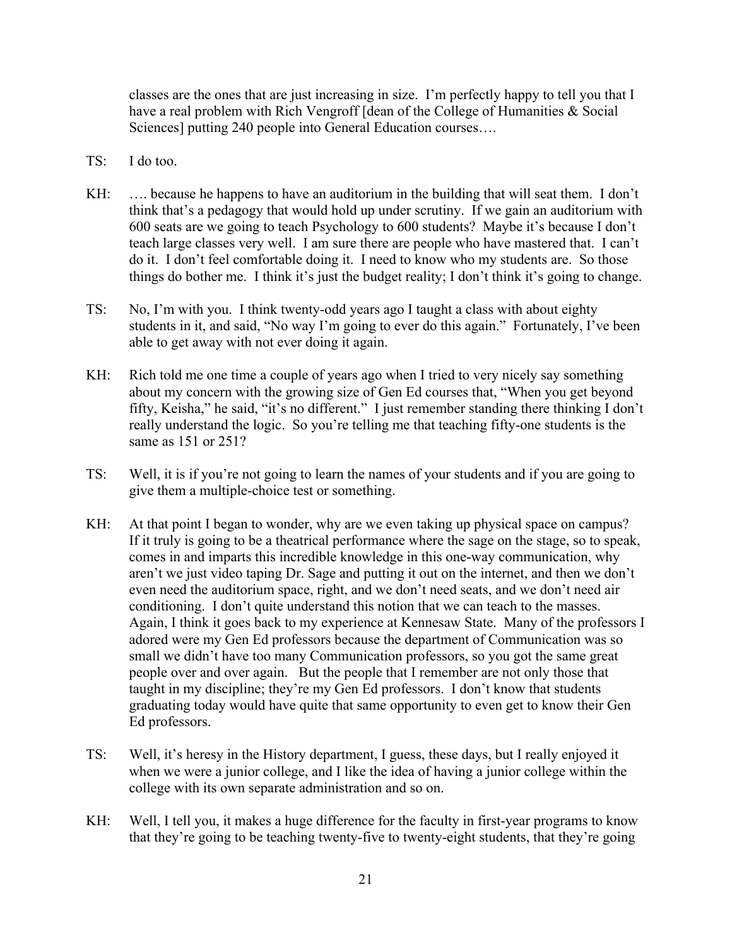classes are the ones that are just increasing in size. I'm perfectly happy to tell you that I have a real problem with Rich Vengroff [dean of the College of Humanities & Social Sciences] putting 240 people into General Education courses….

- TS: I do too.
- KH: .... because he happens to have an auditorium in the building that will seat them. I don't think that's a pedagogy that would hold up under scrutiny. If we gain an auditorium with 600 seats are we going to teach Psychology to 600 students? Maybe it's because I don't teach large classes very well. I am sure there are people who have mastered that. I can't do it. I don't feel comfortable doing it. I need to know who my students are. So those things do bother me. I think it's just the budget reality; I don't think it's going to change.
- TS: No, I'm with you. I think twenty-odd years ago I taught a class with about eighty students in it, and said, "No way I'm going to ever do this again." Fortunately, I've been able to get away with not ever doing it again.
- KH: Rich told me one time a couple of years ago when I tried to very nicely say something about my concern with the growing size of Gen Ed courses that, "When you get beyond fifty, Keisha," he said, "it's no different." I just remember standing there thinking I don't really understand the logic. So you're telling me that teaching fifty-one students is the same as 151 or 251?
- TS: Well, it is if you're not going to learn the names of your students and if you are going to give them a multiple-choice test or something.
- KH: At that point I began to wonder, why are we even taking up physical space on campus? If it truly is going to be a theatrical performance where the sage on the stage, so to speak, comes in and imparts this incredible knowledge in this one-way communication, why aren't we just video taping Dr. Sage and putting it out on the internet, and then we don't even need the auditorium space, right, and we don't need seats, and we don't need air conditioning. I don't quite understand this notion that we can teach to the masses. Again, I think it goes back to my experience at Kennesaw State. Many of the professors I adored were my Gen Ed professors because the department of Communication was so small we didn't have too many Communication professors, so you got the same great people over and over again. But the people that I remember are not only those that taught in my discipline; they're my Gen Ed professors. I don't know that students graduating today would have quite that same opportunity to even get to know their Gen Ed professors.
- TS: Well, it's heresy in the History department, I guess, these days, but I really enjoyed it when we were a junior college, and I like the idea of having a junior college within the college with its own separate administration and so on.
- KH: Well, I tell you, it makes a huge difference for the faculty in first-year programs to know that they're going to be teaching twenty-five to twenty-eight students, that they're going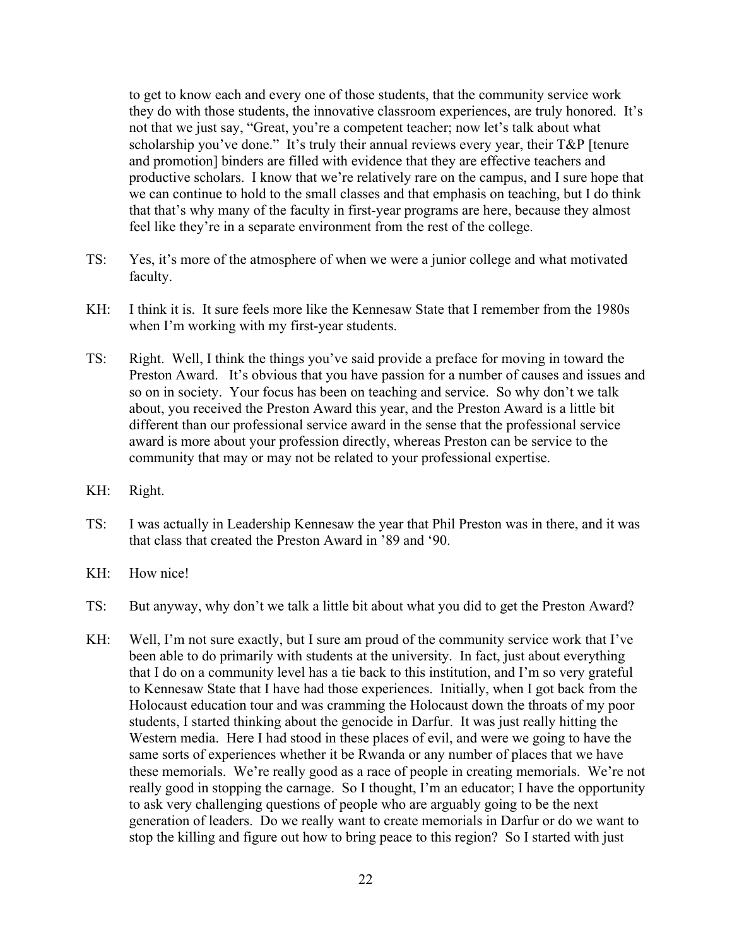to get to know each and every one of those students, that the community service work they do with those students, the innovative classroom experiences, are truly honored. It's not that we just say, "Great, you're a competent teacher; now let's talk about what scholarship you've done." It's truly their annual reviews every year, their T&P [tenure and promotion] binders are filled with evidence that they are effective teachers and productive scholars. I know that we're relatively rare on the campus, and I sure hope that we can continue to hold to the small classes and that emphasis on teaching, but I do think that that's why many of the faculty in first-year programs are here, because they almost feel like they're in a separate environment from the rest of the college.

- TS: Yes, it's more of the atmosphere of when we were a junior college and what motivated faculty.
- KH: I think it is. It sure feels more like the Kennesaw State that I remember from the 1980s when I'm working with my first-year students.
- TS: Right. Well, I think the things you've said provide a preface for moving in toward the Preston Award. It's obvious that you have passion for a number of causes and issues and so on in society. Your focus has been on teaching and service. So why don't we talk about, you received the Preston Award this year, and the Preston Award is a little bit different than our professional service award in the sense that the professional service award is more about your profession directly, whereas Preston can be service to the community that may or may not be related to your professional expertise.
- KH: Right.
- TS: I was actually in Leadership Kennesaw the year that Phil Preston was in there, and it was that class that created the Preston Award in '89 and '90.
- KH: How nice!
- TS: But anyway, why don't we talk a little bit about what you did to get the Preston Award?
- KH: Well, I'm not sure exactly, but I sure am proud of the community service work that I've been able to do primarily with students at the university. In fact, just about everything that I do on a community level has a tie back to this institution, and I'm so very grateful to Kennesaw State that I have had those experiences. Initially, when I got back from the Holocaust education tour and was cramming the Holocaust down the throats of my poor students, I started thinking about the genocide in Darfur. It was just really hitting the Western media. Here I had stood in these places of evil, and were we going to have the same sorts of experiences whether it be Rwanda or any number of places that we have these memorials. We're really good as a race of people in creating memorials. We're not really good in stopping the carnage. So I thought, I'm an educator; I have the opportunity to ask very challenging questions of people who are arguably going to be the next generation of leaders. Do we really want to create memorials in Darfur or do we want to stop the killing and figure out how to bring peace to this region? So I started with just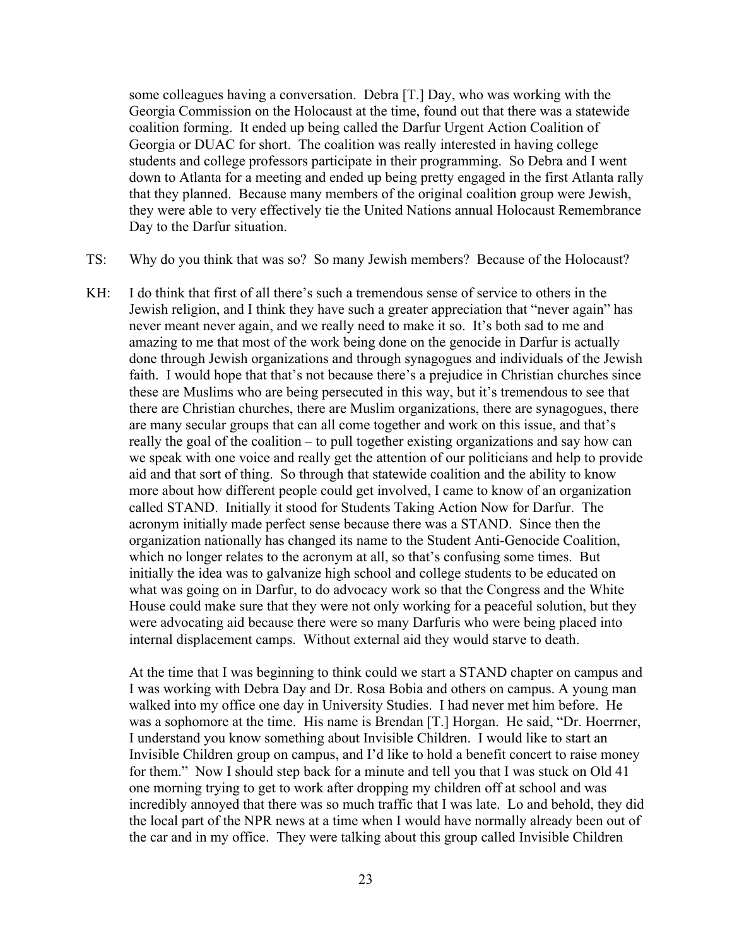some colleagues having a conversation. Debra [T.] Day, who was working with the Georgia Commission on the Holocaust at the time, found out that there was a statewide coalition forming. It ended up being called the Darfur Urgent Action Coalition of Georgia or DUAC for short. The coalition was really interested in having college students and college professors participate in their programming. So Debra and I went down to Atlanta for a meeting and ended up being pretty engaged in the first Atlanta rally that they planned. Because many members of the original coalition group were Jewish, they were able to very effectively tie the United Nations annual Holocaust Remembrance Day to the Darfur situation.

- TS: Why do you think that was so? So many Jewish members? Because of the Holocaust?
- KH: I do think that first of all there's such a tremendous sense of service to others in the Jewish religion, and I think they have such a greater appreciation that "never again" has never meant never again, and we really need to make it so. It's both sad to me and amazing to me that most of the work being done on the genocide in Darfur is actually done through Jewish organizations and through synagogues and individuals of the Jewish faith. I would hope that that's not because there's a prejudice in Christian churches since these are Muslims who are being persecuted in this way, but it's tremendous to see that there are Christian churches, there are Muslim organizations, there are synagogues, there are many secular groups that can all come together and work on this issue, and that's really the goal of the coalition – to pull together existing organizations and say how can we speak with one voice and really get the attention of our politicians and help to provide aid and that sort of thing. So through that statewide coalition and the ability to know more about how different people could get involved, I came to know of an organization called STAND. Initially it stood for Students Taking Action Now for Darfur. The acronym initially made perfect sense because there was a STAND. Since then the organization nationally has changed its name to the Student Anti-Genocide Coalition, which no longer relates to the acronym at all, so that's confusing some times. But initially the idea was to galvanize high school and college students to be educated on what was going on in Darfur, to do advocacy work so that the Congress and the White House could make sure that they were not only working for a peaceful solution, but they were advocating aid because there were so many Darfuris who were being placed into internal displacement camps. Without external aid they would starve to death.

At the time that I was beginning to think could we start a STAND chapter on campus and I was working with Debra Day and Dr. Rosa Bobia and others on campus. A young man walked into my office one day in University Studies. I had never met him before. He was a sophomore at the time. His name is Brendan [T.] Horgan. He said, "Dr. Hoerrner, I understand you know something about Invisible Children. I would like to start an Invisible Children group on campus, and I'd like to hold a benefit concert to raise money for them." Now I should step back for a minute and tell you that I was stuck on Old 41 one morning trying to get to work after dropping my children off at school and was incredibly annoyed that there was so much traffic that I was late. Lo and behold, they did the local part of the NPR news at a time when I would have normally already been out of the car and in my office. They were talking about this group called Invisible Children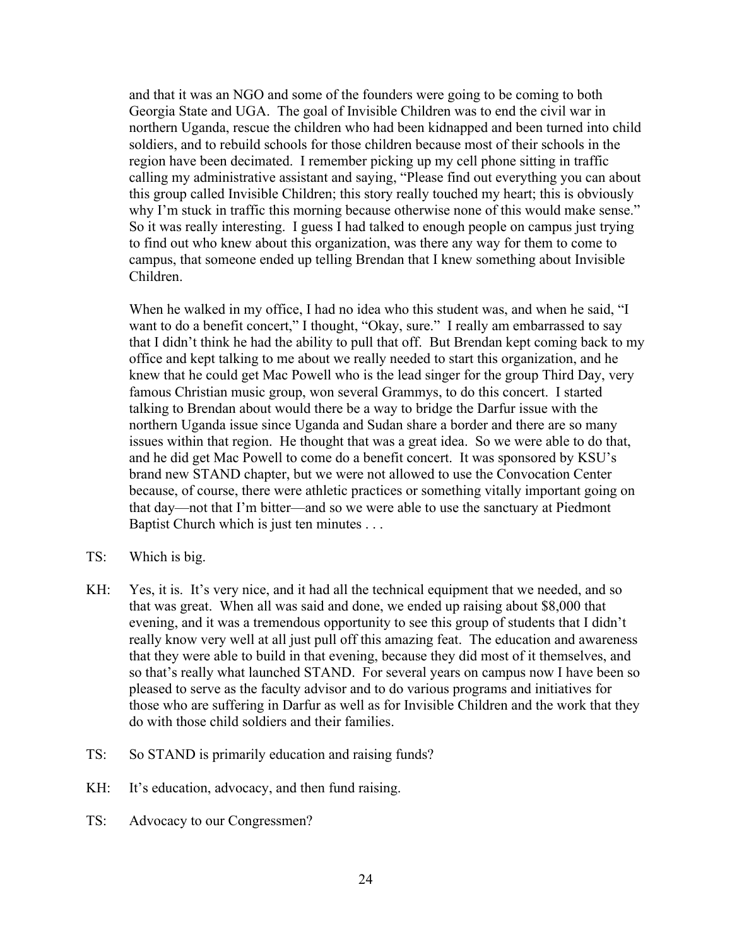and that it was an NGO and some of the founders were going to be coming to both Georgia State and UGA. The goal of Invisible Children was to end the civil war in northern Uganda, rescue the children who had been kidnapped and been turned into child soldiers, and to rebuild schools for those children because most of their schools in the region have been decimated. I remember picking up my cell phone sitting in traffic calling my administrative assistant and saying, "Please find out everything you can about this group called Invisible Children; this story really touched my heart; this is obviously why I'm stuck in traffic this morning because otherwise none of this would make sense." So it was really interesting. I guess I had talked to enough people on campus just trying to find out who knew about this organization, was there any way for them to come to campus, that someone ended up telling Brendan that I knew something about Invisible Children.

When he walked in my office, I had no idea who this student was, and when he said, "I want to do a benefit concert," I thought, "Okay, sure." I really am embarrassed to say that I didn't think he had the ability to pull that off. But Brendan kept coming back to my office and kept talking to me about we really needed to start this organization, and he knew that he could get Mac Powell who is the lead singer for the group Third Day, very famous Christian music group, won several Grammys, to do this concert. I started talking to Brendan about would there be a way to bridge the Darfur issue with the northern Uganda issue since Uganda and Sudan share a border and there are so many issues within that region. He thought that was a great idea. So we were able to do that, and he did get Mac Powell to come do a benefit concert. It was sponsored by KSU's brand new STAND chapter, but we were not allowed to use the Convocation Center because, of course, there were athletic practices or something vitally important going on that day—not that I'm bitter—and so we were able to use the sanctuary at Piedmont Baptist Church which is just ten minutes . . .

- TS: Which is big.
- KH: Yes, it is. It's very nice, and it had all the technical equipment that we needed, and so that was great. When all was said and done, we ended up raising about \$8,000 that evening, and it was a tremendous opportunity to see this group of students that I didn't really know very well at all just pull off this amazing feat. The education and awareness that they were able to build in that evening, because they did most of it themselves, and so that's really what launched STAND. For several years on campus now I have been so pleased to serve as the faculty advisor and to do various programs and initiatives for those who are suffering in Darfur as well as for Invisible Children and the work that they do with those child soldiers and their families.
- TS: So STAND is primarily education and raising funds?
- KH: It's education, advocacy, and then fund raising.
- TS: Advocacy to our Congressmen?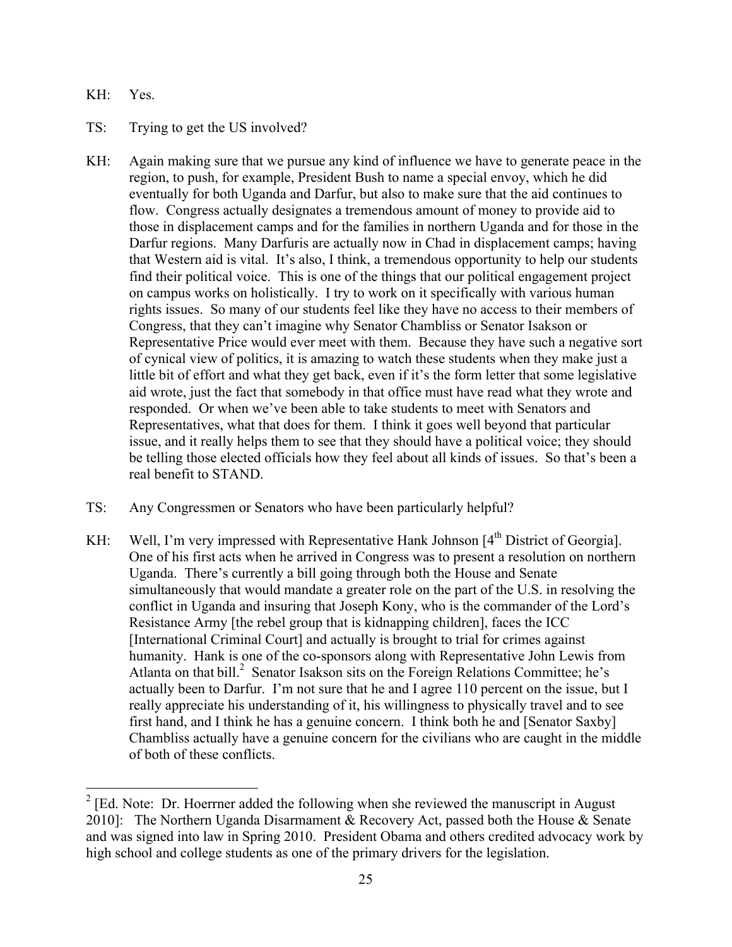### KH: Yes.

## TS: Trying to get the US involved?

- KH: Again making sure that we pursue any kind of influence we have to generate peace in the region, to push, for example, President Bush to name a special envoy, which he did eventually for both Uganda and Darfur, but also to make sure that the aid continues to flow. Congress actually designates a tremendous amount of money to provide aid to those in displacement camps and for the families in northern Uganda and for those in the Darfur regions. Many Darfuris are actually now in Chad in displacement camps; having that Western aid is vital. It's also, I think, a tremendous opportunity to help our students find their political voice. This is one of the things that our political engagement project on campus works on holistically. I try to work on it specifically with various human rights issues. So many of our students feel like they have no access to their members of Congress, that they can't imagine why Senator Chambliss or Senator Isakson or Representative Price would ever meet with them. Because they have such a negative sort of cynical view of politics, it is amazing to watch these students when they make just a little bit of effort and what they get back, even if it's the form letter that some legislative aid wrote, just the fact that somebody in that office must have read what they wrote and responded. Or when we've been able to take students to meet with Senators and Representatives, what that does for them. I think it goes well beyond that particular issue, and it really helps them to see that they should have a political voice; they should be telling those elected officials how they feel about all kinds of issues. So that's been a real benefit to STAND.
- TS: Any Congressmen or Senators who have been particularly helpful?
- KH: Well, I'm very impressed with Representative Hank Johnson [4<sup>th</sup> District of Georgia]. One of his first acts when he arrived in Congress was to present a resolution on northern Uganda. There's currently a bill going through both the House and Senate simultaneously that would mandate a greater role on the part of the U.S. in resolving the conflict in Uganda and insuring that Joseph Kony, who is the commander of the Lord's Resistance Army [the rebel group that is kidnapping children], faces the ICC [International Criminal Court] and actually is brought to trial for crimes against humanity. Hank is one of the co-sponsors along with Representative John Lewis from Atlanta on that bill. 2 Senator Isakson sits on the Foreign Relations Committee; he's actually been to Darfur. I'm not sure that he and I agree 110 percent on the issue, but I really appreciate his understanding of it, his willingness to physically travel and to see first hand, and I think he has a genuine concern. I think both he and [Senator Saxby] Chambliss actually have a genuine concern for the civilians who are caught in the middle of both of these conflicts.

<sup>&</sup>lt;sup>2</sup> [Ed. Note: Dr. Hoerrner added the following when she reviewed the manuscript in August 2010]: The Northern Uganda Disarmament & Recovery Act, passed both the House & Senate and was signed into law in Spring 2010. President Obama and others credited advocacy work by high school and college students as one of the primary drivers for the legislation.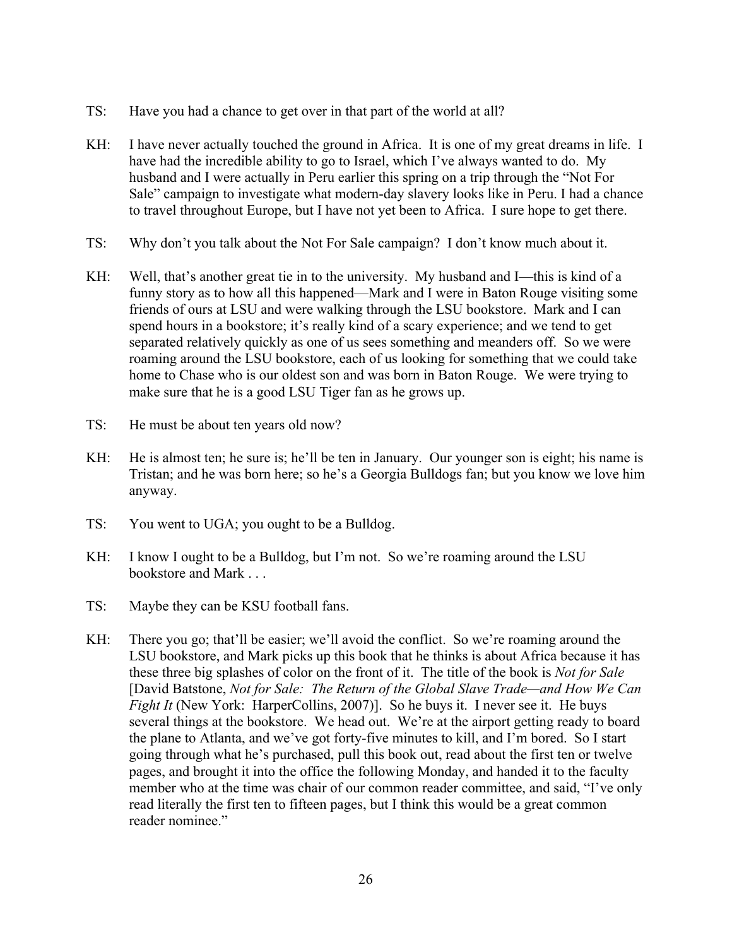- TS: Have you had a chance to get over in that part of the world at all?
- KH: I have never actually touched the ground in Africa. It is one of my great dreams in life. I have had the incredible ability to go to Israel, which I've always wanted to do. My husband and I were actually in Peru earlier this spring on a trip through the "Not For Sale" campaign to investigate what modern-day slavery looks like in Peru. I had a chance to travel throughout Europe, but I have not yet been to Africa. I sure hope to get there.
- TS: Why don't you talk about the Not For Sale campaign? I don't know much about it.
- KH: Well, that's another great tie in to the university. My husband and I—this is kind of a funny story as to how all this happened—Mark and I were in Baton Rouge visiting some friends of ours at LSU and were walking through the LSU bookstore. Mark and I can spend hours in a bookstore; it's really kind of a scary experience; and we tend to get separated relatively quickly as one of us sees something and meanders off. So we were roaming around the LSU bookstore, each of us looking for something that we could take home to Chase who is our oldest son and was born in Baton Rouge. We were trying to make sure that he is a good LSU Tiger fan as he grows up.
- TS: He must be about ten years old now?
- KH: He is almost ten; he sure is; he'll be ten in January. Our younger son is eight; his name is Tristan; and he was born here; so he's a Georgia Bulldogs fan; but you know we love him anyway.
- TS: You went to UGA; you ought to be a Bulldog.
- KH: I know I ought to be a Bulldog, but I'm not. So we're roaming around the LSU bookstore and Mark . . .
- TS: Maybe they can be KSU football fans.
- KH: There you go; that'll be easier; we'll avoid the conflict. So we're roaming around the LSU bookstore, and Mark picks up this book that he thinks is about Africa because it has these three big splashes of color on the front of it. The title of the book is *Not for Sale* [David Batstone, *Not for Sale: The Return of the Global Slave Trade—and How We Can Fight It* (New York: HarperCollins, 2007)]. So he buys it. I never see it. He buys several things at the bookstore. We head out. We're at the airport getting ready to board the plane to Atlanta, and we've got forty-five minutes to kill, and I'm bored. So I start going through what he's purchased, pull this book out, read about the first ten or twelve pages, and brought it into the office the following Monday, and handed it to the faculty member who at the time was chair of our common reader committee, and said, "I've only read literally the first ten to fifteen pages, but I think this would be a great common reader nominee."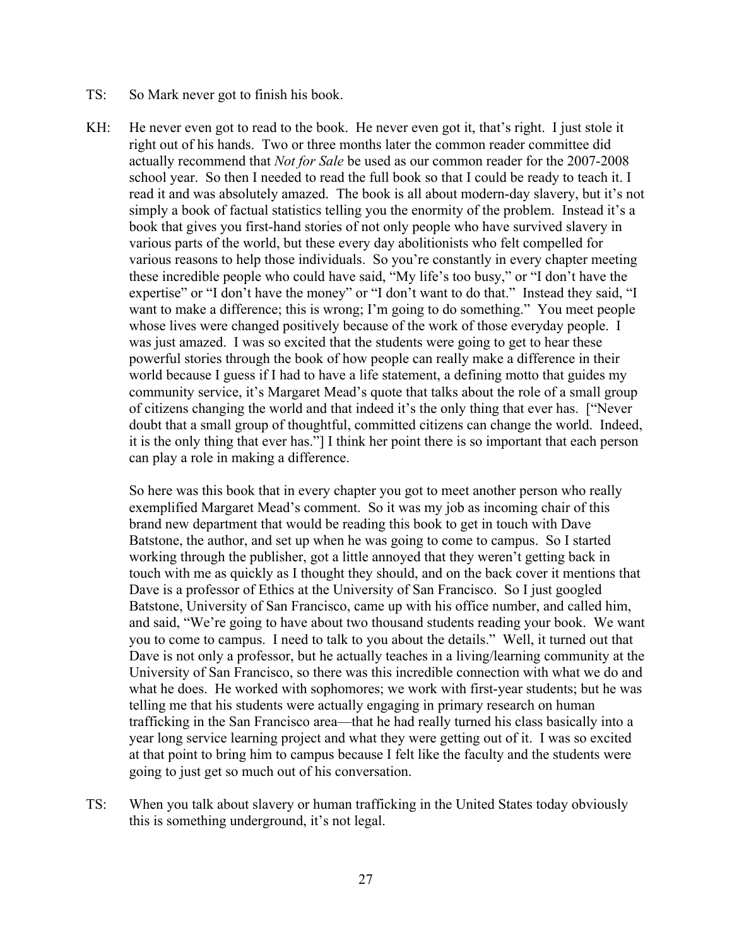- TS: So Mark never got to finish his book.
- KH: He never even got to read to the book. He never even got it, that's right. I just stole it right out of his hands. Two or three months later the common reader committee did actually recommend that *Not for Sale* be used as our common reader for the 2007-2008 school year. So then I needed to read the full book so that I could be ready to teach it. I read it and was absolutely amazed. The book is all about modern-day slavery, but it's not simply a book of factual statistics telling you the enormity of the problem. Instead it's a book that gives you first-hand stories of not only people who have survived slavery in various parts of the world, but these every day abolitionists who felt compelled for various reasons to help those individuals. So you're constantly in every chapter meeting these incredible people who could have said, "My life's too busy," or "I don't have the expertise" or "I don't have the money" or "I don't want to do that." Instead they said, "I want to make a difference; this is wrong; I'm going to do something." You meet people whose lives were changed positively because of the work of those everyday people. I was just amazed. I was so excited that the students were going to get to hear these powerful stories through the book of how people can really make a difference in their world because I guess if I had to have a life statement, a defining motto that guides my community service, it's Margaret Mead's quote that talks about the role of a small group of citizens changing the world and that indeed it's the only thing that ever has. ["Never doubt that a small group of thoughtful, committed citizens can change the world. Indeed, it is the only thing that ever has."] I think her point there is so important that each person can play a role in making a difference.

So here was this book that in every chapter you got to meet another person who really exemplified Margaret Mead's comment. So it was my job as incoming chair of this brand new department that would be reading this book to get in touch with Dave Batstone, the author, and set up when he was going to come to campus. So I started working through the publisher, got a little annoyed that they weren't getting back in touch with me as quickly as I thought they should, and on the back cover it mentions that Dave is a professor of Ethics at the University of San Francisco. So I just googled Batstone, University of San Francisco, came up with his office number, and called him, and said, "We're going to have about two thousand students reading your book. We want you to come to campus. I need to talk to you about the details." Well, it turned out that Dave is not only a professor, but he actually teaches in a living/learning community at the University of San Francisco, so there was this incredible connection with what we do and what he does. He worked with sophomores; we work with first-year students; but he was telling me that his students were actually engaging in primary research on human trafficking in the San Francisco area—that he had really turned his class basically into a year long service learning project and what they were getting out of it. I was so excited at that point to bring him to campus because I felt like the faculty and the students were going to just get so much out of his conversation.

TS: When you talk about slavery or human trafficking in the United States today obviously this is something underground, it's not legal.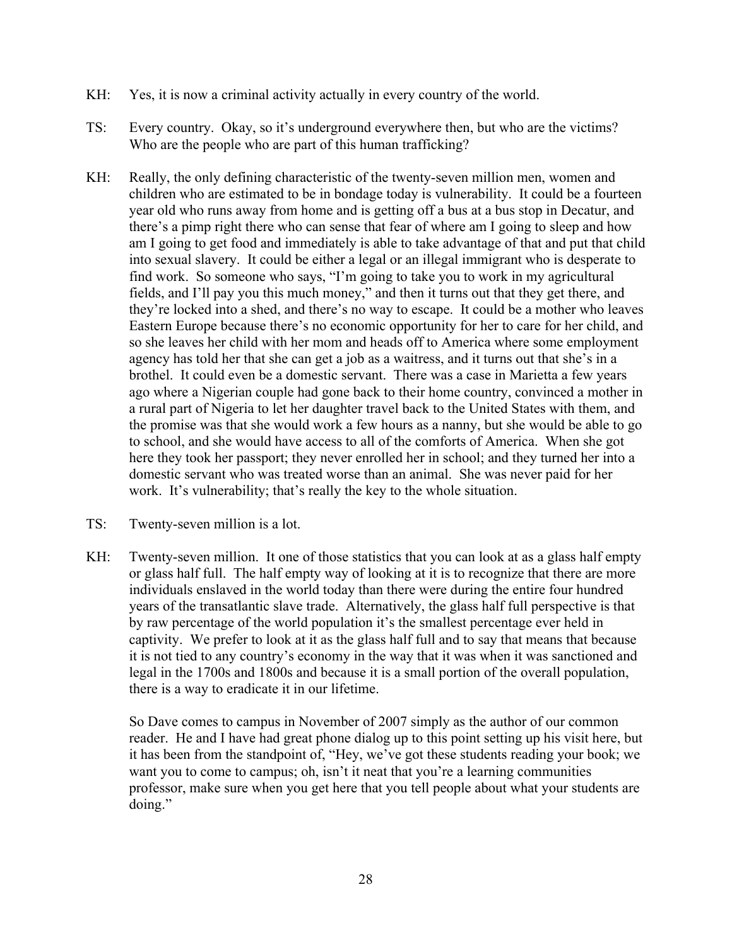- KH: Yes, it is now a criminal activity actually in every country of the world.
- TS: Every country. Okay, so it's underground everywhere then, but who are the victims? Who are the people who are part of this human trafficking?
- KH: Really, the only defining characteristic of the twenty-seven million men, women and children who are estimated to be in bondage today is vulnerability. It could be a fourteen year old who runs away from home and is getting off a bus at a bus stop in Decatur, and there's a pimp right there who can sense that fear of where am I going to sleep and how am I going to get food and immediately is able to take advantage of that and put that child into sexual slavery. It could be either a legal or an illegal immigrant who is desperate to find work. So someone who says, "I'm going to take you to work in my agricultural fields, and I'll pay you this much money," and then it turns out that they get there, and they're locked into a shed, and there's no way to escape. It could be a mother who leaves Eastern Europe because there's no economic opportunity for her to care for her child, and so she leaves her child with her mom and heads off to America where some employment agency has told her that she can get a job as a waitress, and it turns out that she's in a brothel. It could even be a domestic servant. There was a case in Marietta a few years ago where a Nigerian couple had gone back to their home country, convinced a mother in a rural part of Nigeria to let her daughter travel back to the United States with them, and the promise was that she would work a few hours as a nanny, but she would be able to go to school, and she would have access to all of the comforts of America. When she got here they took her passport; they never enrolled her in school; and they turned her into a domestic servant who was treated worse than an animal. She was never paid for her work. It's vulnerability; that's really the key to the whole situation.
- TS: Twenty-seven million is a lot.
- KH: Twenty-seven million. It one of those statistics that you can look at as a glass half empty or glass half full. The half empty way of looking at it is to recognize that there are more individuals enslaved in the world today than there were during the entire four hundred years of the transatlantic slave trade. Alternatively, the glass half full perspective is that by raw percentage of the world population it's the smallest percentage ever held in captivity. We prefer to look at it as the glass half full and to say that means that because it is not tied to any country's economy in the way that it was when it was sanctioned and legal in the 1700s and 1800s and because it is a small portion of the overall population, there is a way to eradicate it in our lifetime.

So Dave comes to campus in November of 2007 simply as the author of our common reader. He and I have had great phone dialog up to this point setting up his visit here, but it has been from the standpoint of, "Hey, we've got these students reading your book; we want you to come to campus; oh, isn't it neat that you're a learning communities professor, make sure when you get here that you tell people about what your students are doing."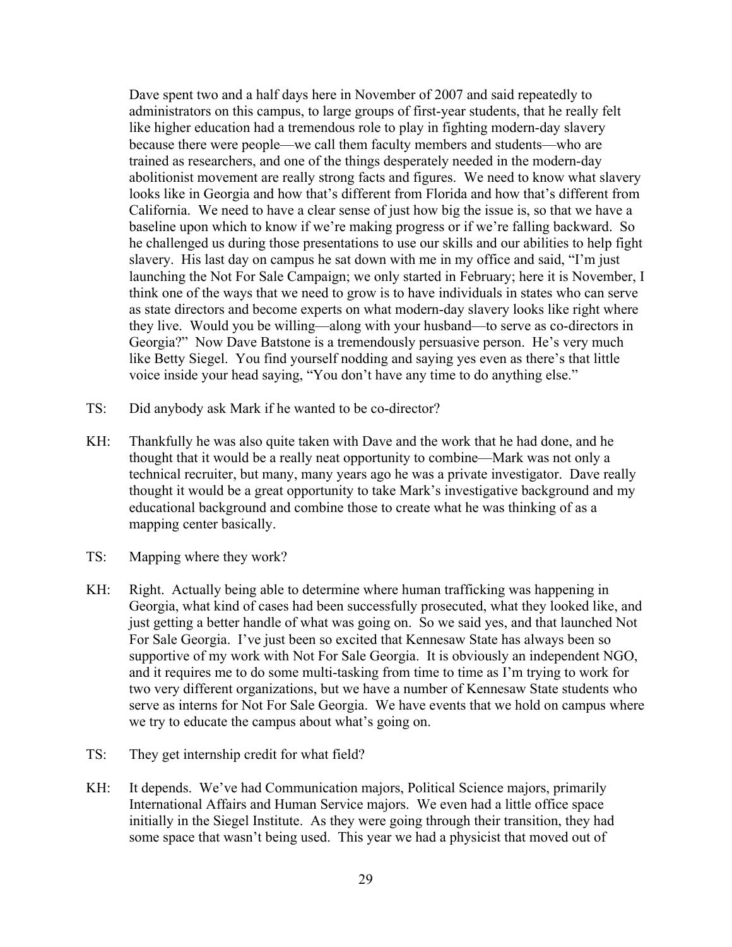Dave spent two and a half days here in November of 2007 and said repeatedly to administrators on this campus, to large groups of first-year students, that he really felt like higher education had a tremendous role to play in fighting modern-day slavery because there were people—we call them faculty members and students—who are trained as researchers, and one of the things desperately needed in the modern-day abolitionist movement are really strong facts and figures. We need to know what slavery looks like in Georgia and how that's different from Florida and how that's different from California. We need to have a clear sense of just how big the issue is, so that we have a baseline upon which to know if we're making progress or if we're falling backward. So he challenged us during those presentations to use our skills and our abilities to help fight slavery. His last day on campus he sat down with me in my office and said, "I'm just launching the Not For Sale Campaign; we only started in February; here it is November, I think one of the ways that we need to grow is to have individuals in states who can serve as state directors and become experts on what modern-day slavery looks like right where they live. Would you be willing—along with your husband—to serve as co-directors in Georgia?" Now Dave Batstone is a tremendously persuasive person. He's very much like Betty Siegel. You find yourself nodding and saying yes even as there's that little voice inside your head saying, "You don't have any time to do anything else."

- TS: Did anybody ask Mark if he wanted to be co-director?
- KH: Thankfully he was also quite taken with Dave and the work that he had done, and he thought that it would be a really neat opportunity to combine—Mark was not only a technical recruiter, but many, many years ago he was a private investigator. Dave really thought it would be a great opportunity to take Mark's investigative background and my educational background and combine those to create what he was thinking of as a mapping center basically.
- TS: Mapping where they work?
- KH: Right. Actually being able to determine where human trafficking was happening in Georgia, what kind of cases had been successfully prosecuted, what they looked like, and just getting a better handle of what was going on. So we said yes, and that launched Not For Sale Georgia. I've just been so excited that Kennesaw State has always been so supportive of my work with Not For Sale Georgia. It is obviously an independent NGO, and it requires me to do some multi-tasking from time to time as I'm trying to work for two very different organizations, but we have a number of Kennesaw State students who serve as interns for Not For Sale Georgia. We have events that we hold on campus where we try to educate the campus about what's going on.
- TS: They get internship credit for what field?
- KH: It depends. We've had Communication majors, Political Science majors, primarily International Affairs and Human Service majors. We even had a little office space initially in the Siegel Institute. As they were going through their transition, they had some space that wasn't being used. This year we had a physicist that moved out of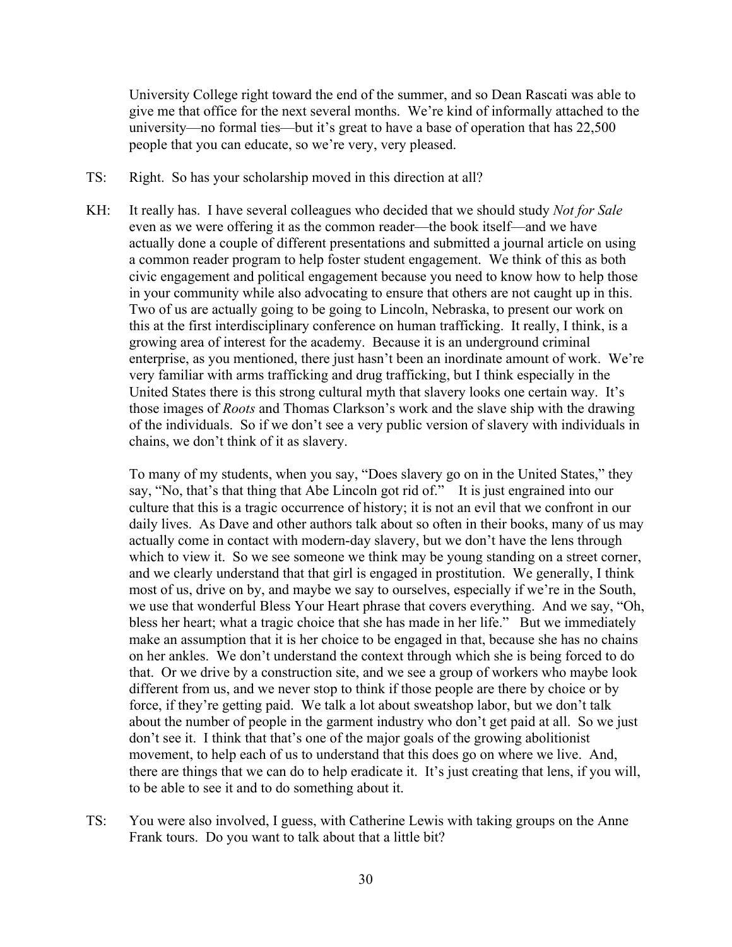University College right toward the end of the summer, and so Dean Rascati was able to give me that office for the next several months. We're kind of informally attached to the university—no formal ties—but it's great to have a base of operation that has 22,500 people that you can educate, so we're very, very pleased.

- TS: Right. So has your scholarship moved in this direction at all?
- KH: It really has. I have several colleagues who decided that we should study *Not for Sale* even as we were offering it as the common reader—the book itself—and we have actually done a couple of different presentations and submitted a journal article on using a common reader program to help foster student engagement. We think of this as both civic engagement and political engagement because you need to know how to help those in your community while also advocating to ensure that others are not caught up in this. Two of us are actually going to be going to Lincoln, Nebraska, to present our work on this at the first interdisciplinary conference on human trafficking. It really, I think, is a growing area of interest for the academy. Because it is an underground criminal enterprise, as you mentioned, there just hasn't been an inordinate amount of work. We're very familiar with arms trafficking and drug trafficking, but I think especially in the United States there is this strong cultural myth that slavery looks one certain way. It's those images of *Roots* and Thomas Clarkson's work and the slave ship with the drawing of the individuals. So if we don't see a very public version of slavery with individuals in chains, we don't think of it as slavery.

To many of my students, when you say, "Does slavery go on in the United States," they say, "No, that's that thing that Abe Lincoln got rid of." It is just engrained into our culture that this is a tragic occurrence of history; it is not an evil that we confront in our daily lives. As Dave and other authors talk about so often in their books, many of us may actually come in contact with modern-day slavery, but we don't have the lens through which to view it. So we see someone we think may be young standing on a street corner, and we clearly understand that that girl is engaged in prostitution. We generally, I think most of us, drive on by, and maybe we say to ourselves, especially if we're in the South, we use that wonderful Bless Your Heart phrase that covers everything. And we say, "Oh, bless her heart; what a tragic choice that she has made in her life." But we immediately make an assumption that it is her choice to be engaged in that, because she has no chains on her ankles. We don't understand the context through which she is being forced to do that. Or we drive by a construction site, and we see a group of workers who maybe look different from us, and we never stop to think if those people are there by choice or by force, if they're getting paid. We talk a lot about sweatshop labor, but we don't talk about the number of people in the garment industry who don't get paid at all. So we just don't see it. I think that that's one of the major goals of the growing abolitionist movement, to help each of us to understand that this does go on where we live. And, there are things that we can do to help eradicate it. It's just creating that lens, if you will, to be able to see it and to do something about it.

TS: You were also involved, I guess, with Catherine Lewis with taking groups on the Anne Frank tours. Do you want to talk about that a little bit?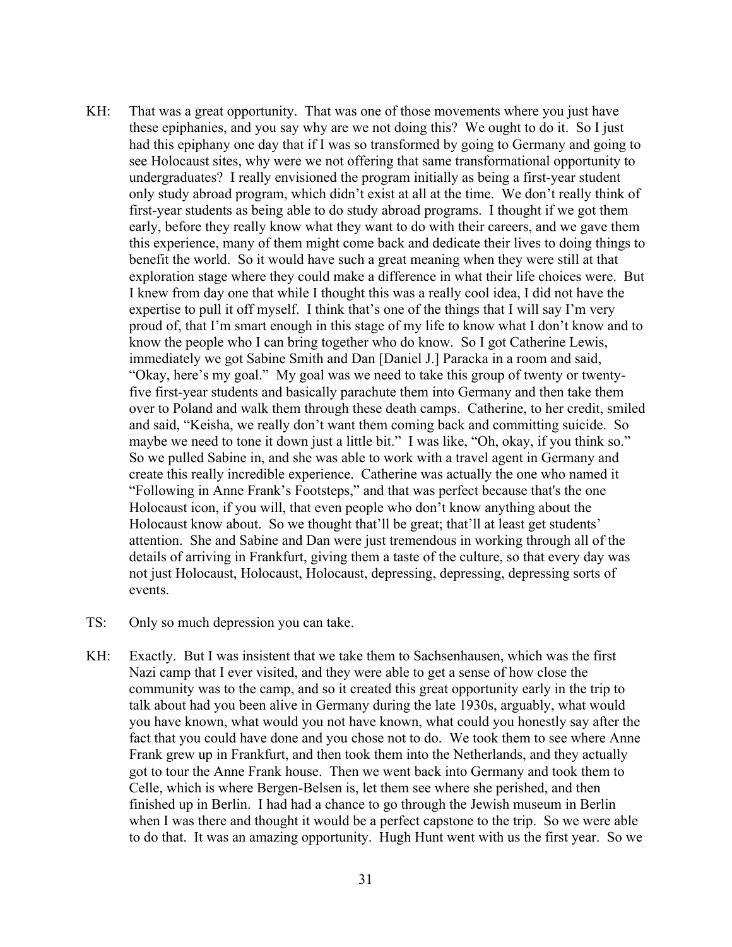- KH: That was a great opportunity. That was one of those movements where you just have these epiphanies, and you say why are we not doing this? We ought to do it. So I just had this epiphany one day that if I was so transformed by going to Germany and going to see Holocaust sites, why were we not offering that same transformational opportunity to undergraduates? I really envisioned the program initially as being a first-year student only study abroad program, which didn't exist at all at the time. We don't really think of first-year students as being able to do study abroad programs. I thought if we got them early, before they really know what they want to do with their careers, and we gave them this experience, many of them might come back and dedicate their lives to doing things to benefit the world. So it would have such a great meaning when they were still at that exploration stage where they could make a difference in what their life choices were. But I knew from day one that while I thought this was a really cool idea, I did not have the expertise to pull it off myself. I think that's one of the things that I will say I'm very proud of, that I'm smart enough in this stage of my life to know what I don't know and to know the people who I can bring together who do know. So I got Catherine Lewis, immediately we got Sabine Smith and Dan [Daniel J.] Paracka in a room and said, "Okay, here's my goal." My goal was we need to take this group of twenty or twentyfive first-year students and basically parachute them into Germany and then take them over to Poland and walk them through these death camps. Catherine, to her credit, smiled and said, "Keisha, we really don't want them coming back and committing suicide. So maybe we need to tone it down just a little bit." I was like, "Oh, okay, if you think so." So we pulled Sabine in, and she was able to work with a travel agent in Germany and create this really incredible experience. Catherine was actually the one who named it "Following in Anne Frank's Footsteps," and that was perfect because that's the one Holocaust icon, if you will, that even people who don't know anything about the Holocaust know about. So we thought that'll be great; that'll at least get students' attention. She and Sabine and Dan were just tremendous in working through all of the details of arriving in Frankfurt, giving them a taste of the culture, so that every day was not just Holocaust, Holocaust, Holocaust, depressing, depressing, depressing sorts of events.
- TS: Only so much depression you can take.
- KH: Exactly. But I was insistent that we take them to Sachsenhausen, which was the first Nazi camp that I ever visited, and they were able to get a sense of how close the community was to the camp, and so it created this great opportunity early in the trip to talk about had you been alive in Germany during the late 1930s, arguably, what would you have known, what would you not have known, what could you honestly say after the fact that you could have done and you chose not to do. We took them to see where Anne Frank grew up in Frankfurt, and then took them into the Netherlands, and they actually got to tour the Anne Frank house. Then we went back into Germany and took them to Celle, which is where Bergen-Belsen is, let them see where she perished, and then finished up in Berlin. I had had a chance to go through the Jewish museum in Berlin when I was there and thought it would be a perfect capstone to the trip. So we were able to do that. It was an amazing opportunity. Hugh Hunt went with us the first year. So we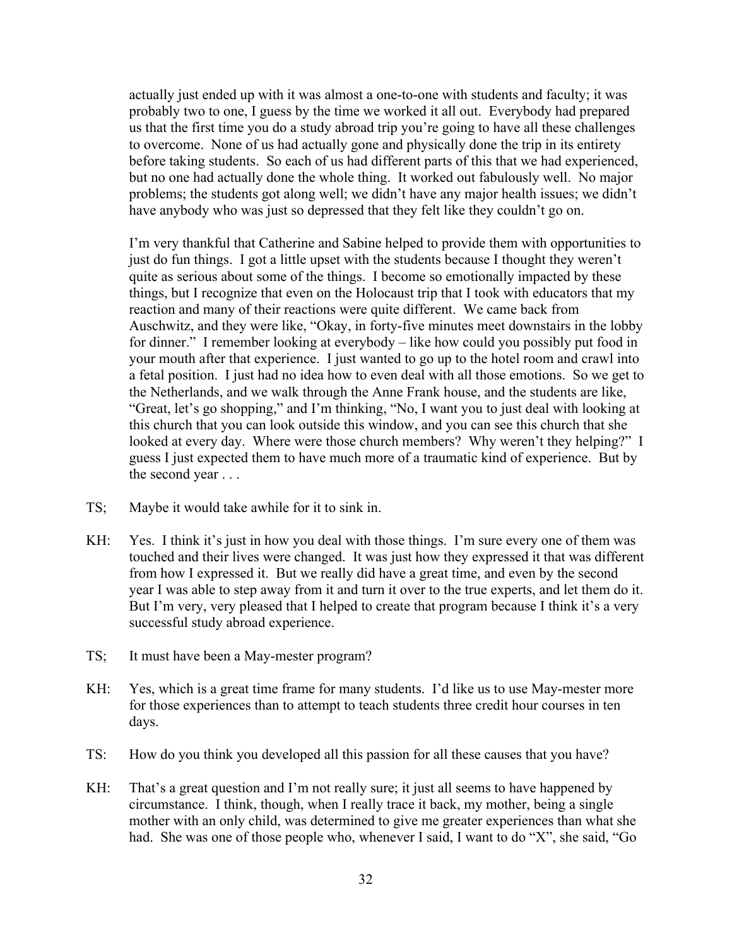actually just ended up with it was almost a one-to-one with students and faculty; it was probably two to one, I guess by the time we worked it all out. Everybody had prepared us that the first time you do a study abroad trip you're going to have all these challenges to overcome. None of us had actually gone and physically done the trip in its entirety before taking students. So each of us had different parts of this that we had experienced, but no one had actually done the whole thing. It worked out fabulously well. No major problems; the students got along well; we didn't have any major health issues; we didn't have anybody who was just so depressed that they felt like they couldn't go on.

I'm very thankful that Catherine and Sabine helped to provide them with opportunities to just do fun things. I got a little upset with the students because I thought they weren't quite as serious about some of the things. I become so emotionally impacted by these things, but I recognize that even on the Holocaust trip that I took with educators that my reaction and many of their reactions were quite different. We came back from Auschwitz, and they were like, "Okay, in forty-five minutes meet downstairs in the lobby for dinner." I remember looking at everybody – like how could you possibly put food in your mouth after that experience. I just wanted to go up to the hotel room and crawl into a fetal position. I just had no idea how to even deal with all those emotions. So we get to the Netherlands, and we walk through the Anne Frank house, and the students are like, "Great, let's go shopping," and I'm thinking, "No, I want you to just deal with looking at this church that you can look outside this window, and you can see this church that she looked at every day. Where were those church members? Why weren't they helping?" I guess I just expected them to have much more of a traumatic kind of experience. But by the second year . . .

- TS; Maybe it would take awhile for it to sink in.
- KH: Yes. I think it's just in how you deal with those things. I'm sure every one of them was touched and their lives were changed. It was just how they expressed it that was different from how I expressed it. But we really did have a great time, and even by the second year I was able to step away from it and turn it over to the true experts, and let them do it. But I'm very, very pleased that I helped to create that program because I think it's a very successful study abroad experience.
- TS; It must have been a May-mester program?
- KH: Yes, which is a great time frame for many students. I'd like us to use May-mester more for those experiences than to attempt to teach students three credit hour courses in ten days.
- TS: How do you think you developed all this passion for all these causes that you have?
- KH: That's a great question and I'm not really sure; it just all seems to have happened by circumstance. I think, though, when I really trace it back, my mother, being a single mother with an only child, was determined to give me greater experiences than what she had. She was one of those people who, whenever I said, I want to do "X", she said, "Go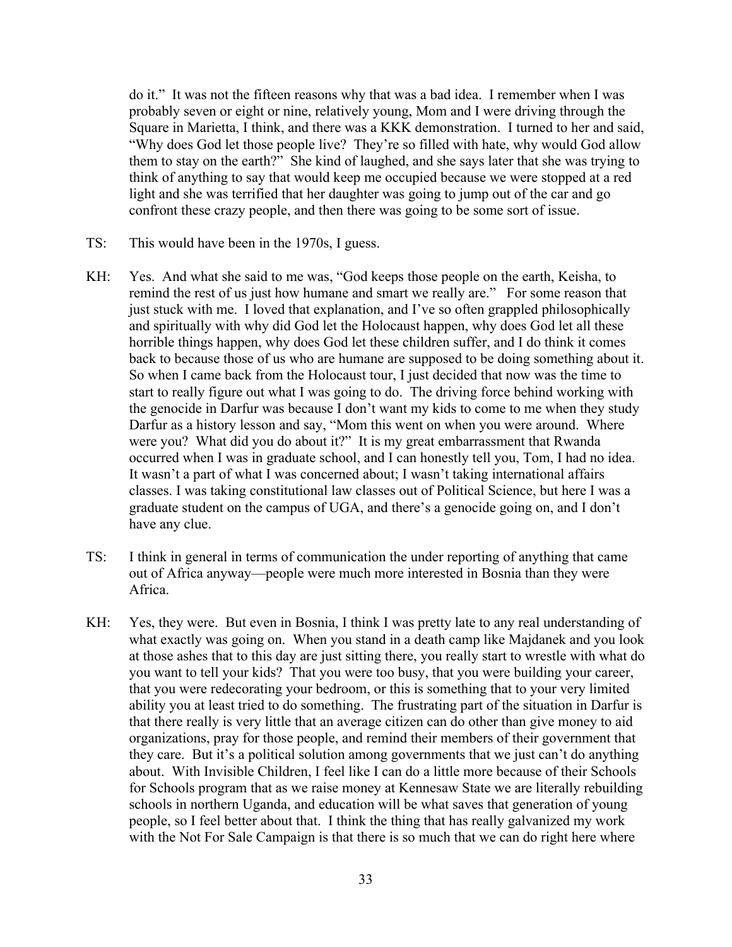do it." It was not the fifteen reasons why that was a bad idea. I remember when I was probably seven or eight or nine, relatively young, Mom and I were driving through the Square in Marietta, I think, and there was a KKK demonstration. I turned to her and said, "Why does God let those people live? They're so filled with hate, why would God allow them to stay on the earth?" She kind of laughed, and she says later that she was trying to think of anything to say that would keep me occupied because we were stopped at a red light and she was terrified that her daughter was going to jump out of the car and go confront these crazy people, and then there was going to be some sort of issue.

- TS: This would have been in the 1970s, I guess.
- KH: Yes. And what she said to me was, "God keeps those people on the earth, Keisha, to remind the rest of us just how humane and smart we really are." For some reason that just stuck with me. I loved that explanation, and I've so often grappled philosophically and spiritually with why did God let the Holocaust happen, why does God let all these horrible things happen, why does God let these children suffer, and I do think it comes back to because those of us who are humane are supposed to be doing something about it. So when I came back from the Holocaust tour, I just decided that now was the time to start to really figure out what I was going to do. The driving force behind working with the genocide in Darfur was because I don't want my kids to come to me when they study Darfur as a history lesson and say, "Mom this went on when you were around. Where were you? What did you do about it?" It is my great embarrassment that Rwanda occurred when I was in graduate school, and I can honestly tell you, Tom, I had no idea. It wasn't a part of what I was concerned about; I wasn't taking international affairs classes. I was taking constitutional law classes out of Political Science, but here I was a graduate student on the campus of UGA, and there's a genocide going on, and I don't have any clue.
- TS: I think in general in terms of communication the under reporting of anything that came out of Africa anyway—people were much more interested in Bosnia than they were Africa.
- KH: Yes, they were. But even in Bosnia, I think I was pretty late to any real understanding of what exactly was going on. When you stand in a death camp like Majdanek and you look at those ashes that to this day are just sitting there, you really start to wrestle with what do you want to tell your kids? That you were too busy, that you were building your career, that you were redecorating your bedroom, or this is something that to your very limited ability you at least tried to do something. The frustrating part of the situation in Darfur is that there really is very little that an average citizen can do other than give money to aid organizations, pray for those people, and remind their members of their government that they care. But it's a political solution among governments that we just can't do anything about. With Invisible Children, I feel like I can do a little more because of their Schools for Schools program that as we raise money at Kennesaw State we are literally rebuilding schools in northern Uganda, and education will be what saves that generation of young people, so I feel better about that. I think the thing that has really galvanized my work with the Not For Sale Campaign is that there is so much that we can do right here where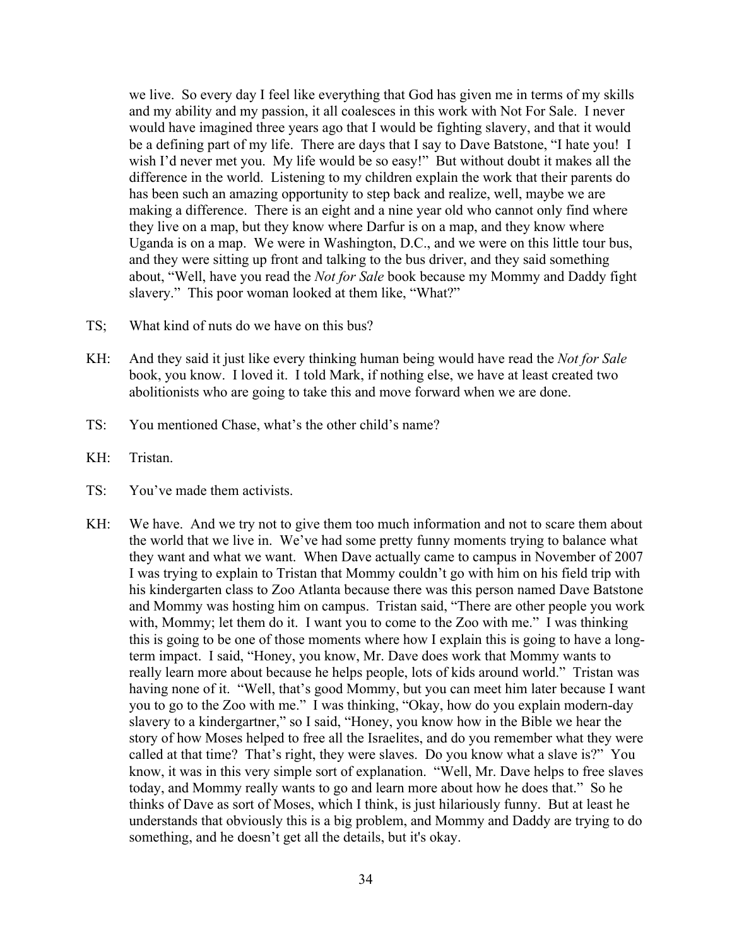we live. So every day I feel like everything that God has given me in terms of my skills and my ability and my passion, it all coalesces in this work with Not For Sale. I never would have imagined three years ago that I would be fighting slavery, and that it would be a defining part of my life. There are days that I say to Dave Batstone, "I hate you! I wish I'd never met you. My life would be so easy!" But without doubt it makes all the difference in the world. Listening to my children explain the work that their parents do has been such an amazing opportunity to step back and realize, well, maybe we are making a difference. There is an eight and a nine year old who cannot only find where they live on a map, but they know where Darfur is on a map, and they know where Uganda is on a map. We were in Washington, D.C., and we were on this little tour bus, and they were sitting up front and talking to the bus driver, and they said something about, "Well, have you read the *Not for Sale* book because my Mommy and Daddy fight slavery." This poor woman looked at them like, "What?"

- TS; What kind of nuts do we have on this bus?
- KH: And they said it just like every thinking human being would have read the *Not for Sale* book, you know. I loved it. I told Mark, if nothing else, we have at least created two abolitionists who are going to take this and move forward when we are done.
- TS: You mentioned Chase, what's the other child's name?
- KH: Tristan.
- TS: You've made them activists.
- KH: We have. And we try not to give them too much information and not to scare them about the world that we live in. We've had some pretty funny moments trying to balance what they want and what we want. When Dave actually came to campus in November of 2007 I was trying to explain to Tristan that Mommy couldn't go with him on his field trip with his kindergarten class to Zoo Atlanta because there was this person named Dave Batstone and Mommy was hosting him on campus. Tristan said, "There are other people you work with, Mommy; let them do it. I want you to come to the Zoo with me." I was thinking this is going to be one of those moments where how I explain this is going to have a longterm impact. I said, "Honey, you know, Mr. Dave does work that Mommy wants to really learn more about because he helps people, lots of kids around world." Tristan was having none of it. "Well, that's good Mommy, but you can meet him later because I want you to go to the Zoo with me." I was thinking, "Okay, how do you explain modern-day slavery to a kindergartner," so I said, "Honey, you know how in the Bible we hear the story of how Moses helped to free all the Israelites, and do you remember what they were called at that time? That's right, they were slaves. Do you know what a slave is?" You know, it was in this very simple sort of explanation. "Well, Mr. Dave helps to free slaves today, and Mommy really wants to go and learn more about how he does that." So he thinks of Dave as sort of Moses, which I think, is just hilariously funny. But at least he understands that obviously this is a big problem, and Mommy and Daddy are trying to do something, and he doesn't get all the details, but it's okay.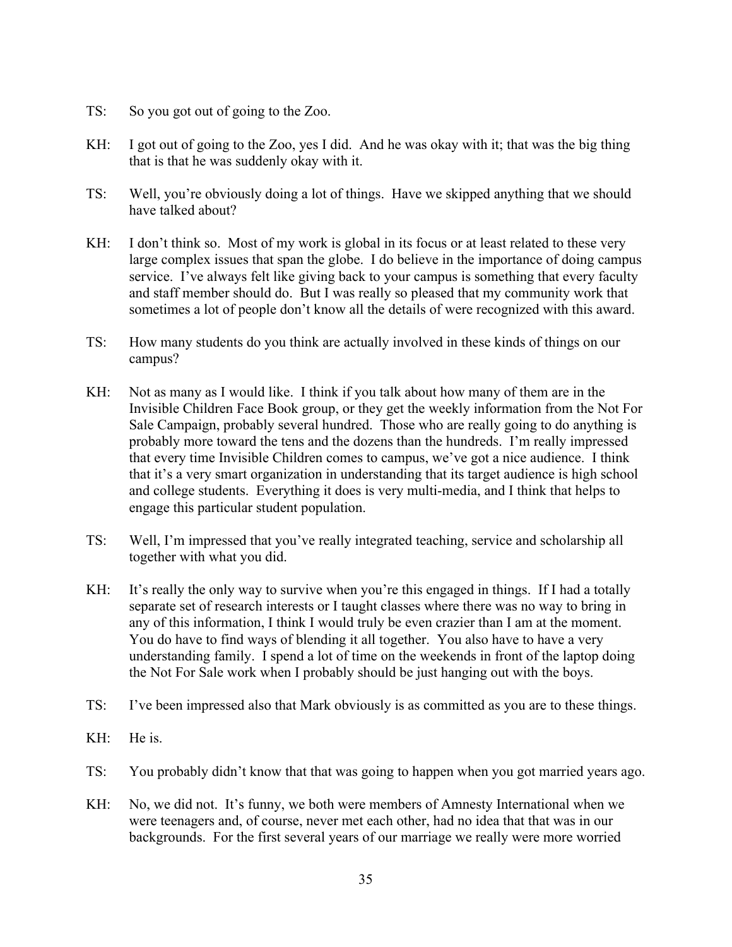- TS: So you got out of going to the Zoo.
- KH: I got out of going to the Zoo, yes I did. And he was okay with it; that was the big thing that is that he was suddenly okay with it.
- TS: Well, you're obviously doing a lot of things. Have we skipped anything that we should have talked about?
- KH: I don't think so. Most of my work is global in its focus or at least related to these very large complex issues that span the globe. I do believe in the importance of doing campus service. I've always felt like giving back to your campus is something that every faculty and staff member should do. But I was really so pleased that my community work that sometimes a lot of people don't know all the details of were recognized with this award.
- TS: How many students do you think are actually involved in these kinds of things on our campus?
- KH: Not as many as I would like. I think if you talk about how many of them are in the Invisible Children Face Book group, or they get the weekly information from the Not For Sale Campaign, probably several hundred. Those who are really going to do anything is probably more toward the tens and the dozens than the hundreds. I'm really impressed that every time Invisible Children comes to campus, we've got a nice audience. I think that it's a very smart organization in understanding that its target audience is high school and college students. Everything it does is very multi-media, and I think that helps to engage this particular student population.
- TS: Well, I'm impressed that you've really integrated teaching, service and scholarship all together with what you did.
- KH: It's really the only way to survive when you're this engaged in things. If I had a totally separate set of research interests or I taught classes where there was no way to bring in any of this information, I think I would truly be even crazier than I am at the moment. You do have to find ways of blending it all together. You also have to have a very understanding family. I spend a lot of time on the weekends in front of the laptop doing the Not For Sale work when I probably should be just hanging out with the boys.
- TS: I've been impressed also that Mark obviously is as committed as you are to these things.
- KH: He is.
- TS: You probably didn't know that that was going to happen when you got married years ago.
- KH: No, we did not. It's funny, we both were members of Amnesty International when we were teenagers and, of course, never met each other, had no idea that that was in our backgrounds. For the first several years of our marriage we really were more worried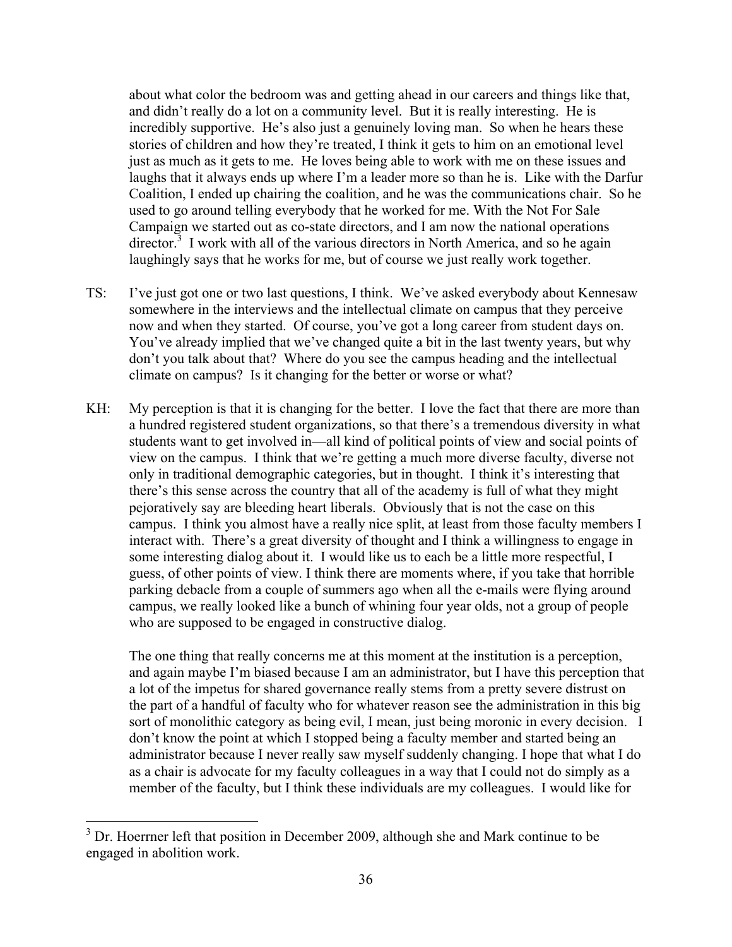about what color the bedroom was and getting ahead in our careers and things like that, and didn't really do a lot on a community level. But it is really interesting. He is incredibly supportive. He's also just a genuinely loving man. So when he hears these stories of children and how they're treated, I think it gets to him on an emotional level just as much as it gets to me. He loves being able to work with me on these issues and laughs that it always ends up where I'm a leader more so than he is. Like with the Darfur Coalition, I ended up chairing the coalition, and he was the communications chair. So he used to go around telling everybody that he worked for me. With the Not For Sale Campaign we started out as co-state directors, and I am now the national operations director.<sup>3</sup> I work with all of the various directors in North America, and so he again laughingly says that he works for me, but of course we just really work together.

- TS: I've just got one or two last questions, I think. We've asked everybody about Kennesaw somewhere in the interviews and the intellectual climate on campus that they perceive now and when they started. Of course, you've got a long career from student days on. You've already implied that we've changed quite a bit in the last twenty years, but why don't you talk about that? Where do you see the campus heading and the intellectual climate on campus? Is it changing for the better or worse or what?
- KH: My perception is that it is changing for the better. I love the fact that there are more than a hundred registered student organizations, so that there's a tremendous diversity in what students want to get involved in—all kind of political points of view and social points of view on the campus. I think that we're getting a much more diverse faculty, diverse not only in traditional demographic categories, but in thought. I think it's interesting that there's this sense across the country that all of the academy is full of what they might pejoratively say are bleeding heart liberals. Obviously that is not the case on this campus. I think you almost have a really nice split, at least from those faculty members I interact with. There's a great diversity of thought and I think a willingness to engage in some interesting dialog about it. I would like us to each be a little more respectful, I guess, of other points of view. I think there are moments where, if you take that horrible parking debacle from a couple of summers ago when all the e-mails were flying around campus, we really looked like a bunch of whining four year olds, not a group of people who are supposed to be engaged in constructive dialog.

The one thing that really concerns me at this moment at the institution is a perception, and again maybe I'm biased because I am an administrator, but I have this perception that a lot of the impetus for shared governance really stems from a pretty severe distrust on the part of a handful of faculty who for whatever reason see the administration in this big sort of monolithic category as being evil, I mean, just being moronic in every decision. I don't know the point at which I stopped being a faculty member and started being an administrator because I never really saw myself suddenly changing. I hope that what I do as a chair is advocate for my faculty colleagues in a way that I could not do simply as a member of the faculty, but I think these individuals are my colleagues. I would like for

<sup>&</sup>lt;sup>3</sup> Dr. Hoerrner left that position in December 2009, although she and Mark continue to be engaged in abolition work.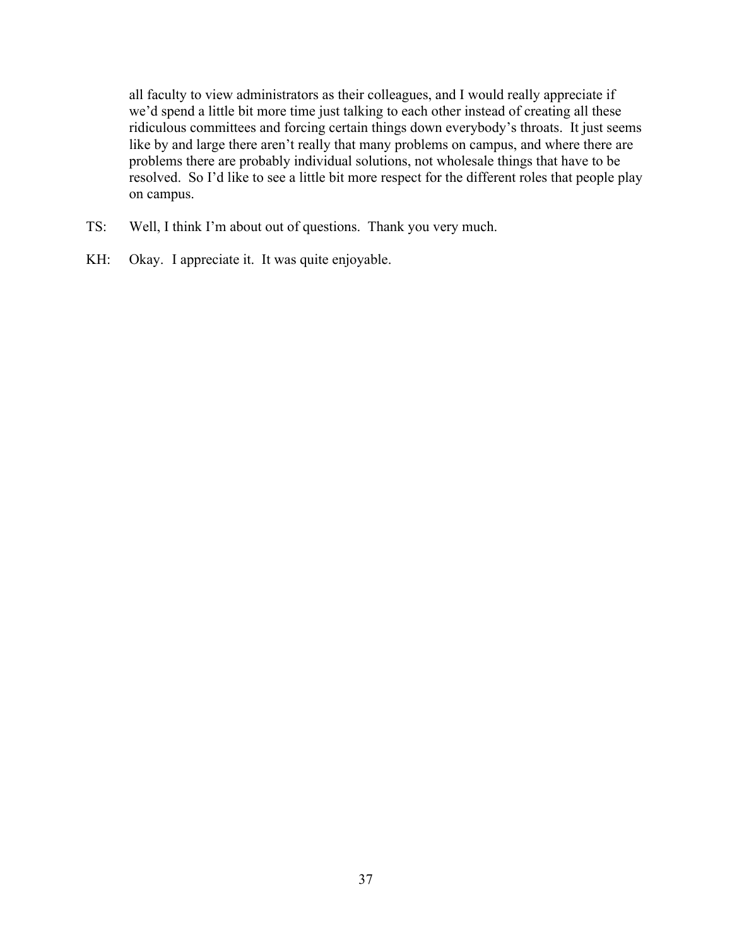all faculty to view administrators as their colleagues, and I would really appreciate if we'd spend a little bit more time just talking to each other instead of creating all these ridiculous committees and forcing certain things down everybody's throats. It just seems like by and large there aren't really that many problems on campus, and where there are problems there are probably individual solutions, not wholesale things that have to be resolved. So I'd like to see a little bit more respect for the different roles that people play on campus.

- TS: Well, I think I'm about out of questions. Thank you very much.
- KH: Okay. I appreciate it. It was quite enjoyable.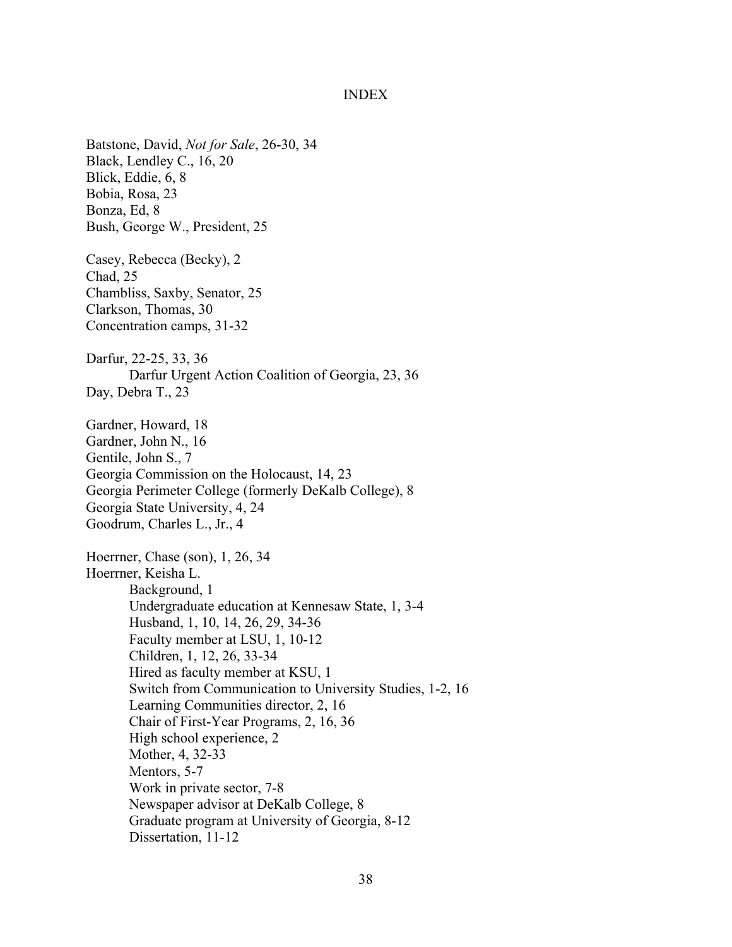#### INDEX

Batstone, David, *Not for Sale*, 26-30, 34 Black, Lendley C., 16, 20 Blick, Eddie, 6, 8 Bobia, Rosa, 23 Bonza, Ed, 8 Bush, George W., President, 25 Casey, Rebecca (Becky), 2 Chad, 25 Chambliss, Saxby, Senator, 25 Clarkson, Thomas, 30 Concentration camps, 31-32 Darfur, 22-25, 33, 36 Darfur Urgent Action Coalition of Georgia, 23, 36 Day, Debra T., 23 Gardner, Howard, 18 Gardner, John N., 16 Gentile, John S., 7 Georgia Commission on the Holocaust, 14, 23 Georgia Perimeter College (formerly DeKalb College), 8 Georgia State University, 4, 24 Goodrum, Charles L., Jr., 4 Hoerrner, Chase (son), 1, 26, 34 Hoerrner, Keisha L. Background, 1 Undergraduate education at Kennesaw State, 1, 3-4 Husband, 1, 10, 14, 26, 29, 34-36 Faculty member at LSU, 1, 10-12 Children, 1, 12, 26, 33-34 Hired as faculty member at KSU, 1 Switch from Communication to University Studies, 1-2, 16 Learning Communities director, 2, 16 Chair of First-Year Programs, 2, 16, 36 High school experience, 2 Mother, 4, 32-33 Mentors, 5-7 Work in private sector, 7-8 Newspaper advisor at DeKalb College, 8 Graduate program at University of Georgia, 8-12 Dissertation, 11-12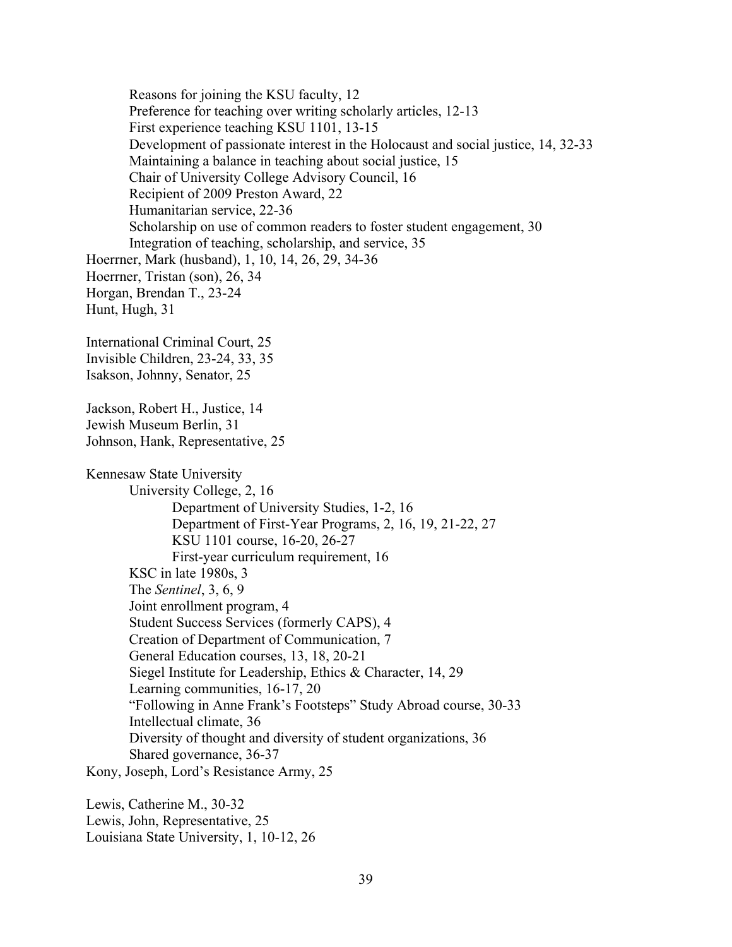Reasons for joining the KSU faculty, 12 Preference for teaching over writing scholarly articles, 12-13 First experience teaching KSU 1101, 13-15 Development of passionate interest in the Holocaust and social justice, 14, 32-33 Maintaining a balance in teaching about social justice, 15 Chair of University College Advisory Council, 16 Recipient of 2009 Preston Award, 22 Humanitarian service, 22-36 Scholarship on use of common readers to foster student engagement, 30 Integration of teaching, scholarship, and service, 35 Hoerrner, Mark (husband), 1, 10, 14, 26, 29, 34-36 Hoerrner, Tristan (son), 26, 34 Horgan, Brendan T., 23-24 Hunt, Hugh, 31 International Criminal Court, 25 Invisible Children, 23-24, 33, 35 Isakson, Johnny, Senator, 25 Jackson, Robert H., Justice, 14 Jewish Museum Berlin, 31 Johnson, Hank, Representative, 25 Kennesaw State University University College, 2, 16 Department of University Studies, 1-2, 16 Department of First-Year Programs, 2, 16, 19, 21-22, 27 KSU 1101 course, 16-20, 26-27 First-year curriculum requirement, 16 KSC in late 1980s, 3 The *Sentinel*, 3, 6, 9 Joint enrollment program, 4 Student Success Services (formerly CAPS), 4 Creation of Department of Communication, 7 General Education courses, 13, 18, 20-21 Siegel Institute for Leadership, Ethics & Character, 14, 29 Learning communities, 16-17, 20 "Following in Anne Frank's Footsteps" Study Abroad course, 30-33 Intellectual climate, 36 Diversity of thought and diversity of student organizations, 36 Shared governance, 36-37 Kony, Joseph, Lord's Resistance Army, 25

Lewis, Catherine M., 30-32 Lewis, John, Representative, 25 Louisiana State University, 1, 10-12, 26